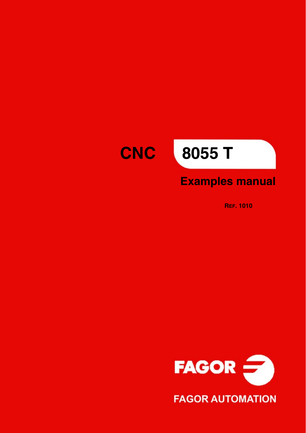# **CNC**

# **8055 T**

### **Examples manual**

**REF. 1010**

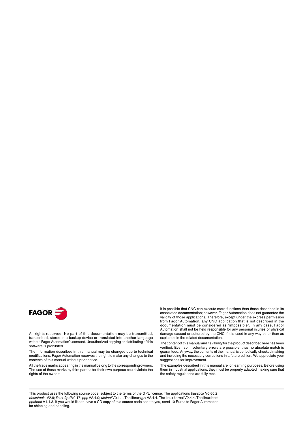

All rights reserved. No part of this documentation may be transmitted, transcribed, stored in a backup device or translated into another language without Fagor Automation's consent. Unauthorized copying or distributing of this software is prohibited.

The information described in this manual may be changed due to technical modifications. Fagor Automation reserves the right to make any changes to the contents of this manual without prior notice.

All the trade marks appearing in the manual belong to the corresponding owners. The use of these marks by third parties for their own purpose could violate the rights of the owners.

It is possible that CNC can execute more functions than those described in its associated documentation; however, Fagor Automation does not guarantee the validity of those applications. Therefore, except under the express permission from Fagor Automation, any CNC application that is not described in the documentation must be considered as "impossible". In any case, Fagor Automation shall not be held responsible for any personal injuries or physical damage caused or suffered by the CNC if it is used in any way other than as explained in the related documentation.

The content of this manual and its validity for the product described here has been verified. Even so, involuntary errors are possible, thus no absolute match is guaranteed. Anyway, the contents of the manual is periodically checked making and including the necessary corrections in a future edition. We appreciate your suggestions for improvement.

The examples described in this manual are for learning purposes. Before using them in industrial applications, they must be properly adapted making sure that the safety regulations are fully met.

This product uses the following source code, subject to the terms of the GPL license. The applications *busybox* V0.60.2; *dosfstools* V2.9; *linux-ftpd* V0.17; *ppp* V2.4.0; *utelnet* V0.1.1. The library*grx* V2.4.4. The linux kernel V2.4.4. The linux boot *ppcboot* V1.1.3. If you would like to have a CD copy of this source code sent to you, send 10 Euros to Fagor Automation<br>for shipping and handling.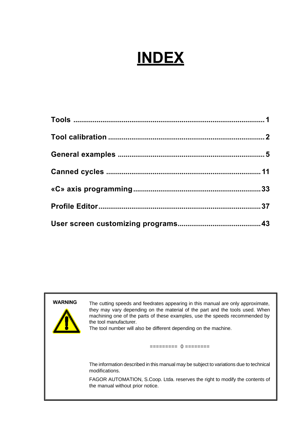# **INDEX**

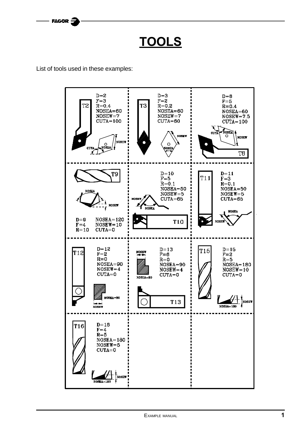**TOOLS**

List of tools used in these examples:

<span id="page-3-0"></span>= FAGOR  $\tilde{\mathcal{Z}}$ 

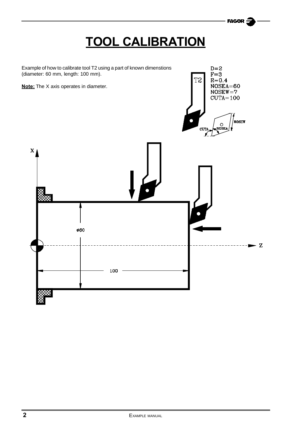### **TOOL CALIBRATION**

**FAGOR** 

<span id="page-4-0"></span>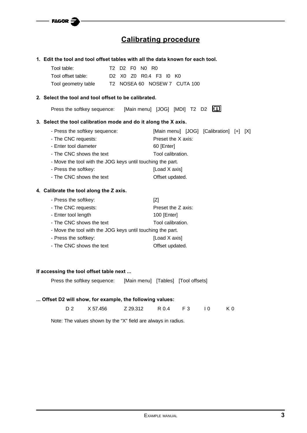$=$  FAGOR  $\Xi$ 

### **Calibrating procedure**

|                                                                 | 1. Edit the tool and tool offset tables with all the data known for each tool. |
|-----------------------------------------------------------------|--------------------------------------------------------------------------------|
| Tool table:                                                     | T2 D2 F0<br>NO RO                                                              |
| Tool offset table:<br>D <sub>2</sub>                            | X0 Z0 R0.4 F3 I0 K0                                                            |
| Tool geometry table                                             | T2 NOSEA 60 NOSEW 7 CUTA 100                                                   |
| 2. Select the tool and tool offset to be calibrated.            |                                                                                |
| Press the softkey sequence:                                     | [Main menu] [JOG] [MDI] T2 D2 [1]                                              |
| 3. Select the tool calibration mode and do it along the X axis. |                                                                                |
| - Press the softkey sequence:                                   | [Main menu] [JOG] [Calibration] [+] [X]                                        |
| - The CNC requests:                                             | Preset the X axis:                                                             |
| - Enter tool diameter                                           | 60 [Enter]                                                                     |
| - The CNC shows the text                                        | Tool calibration.                                                              |
| - Move the tool with the JOG keys until touching the part.      |                                                                                |
| - Press the softkey:                                            | [Load X axis]                                                                  |
| - The CNC shows the text                                        | Offset updated.                                                                |
| 4. Calibrate the tool along the Z axis.                         |                                                                                |
| - Press the softkey:                                            | Z                                                                              |
| - The CNC requests:                                             | Preset the Z axis:                                                             |
| - Enter tool length                                             | 100 [Enter]                                                                    |
| - The CNC shows the text                                        | Tool calibration.                                                              |
| - Move the tool with the JOG keys until touching the part.      |                                                                                |
| - Press the softkey:                                            | [Load X axis]                                                                  |
| - The CNC shows the text                                        | Offset updated.                                                                |
|                                                                 |                                                                                |
| If accessing the tool offset table next                         |                                                                                |
| Press the softkey sequence:                                     | [Main menu] [Tables] [Tool offsets]                                            |
| Offset D2 will show, for example, the following values:         |                                                                                |

D 2 X 57.456 Z 29.312 R 0.4 F 3 I 0 K 0

Note: The values shown by the "X" field are always in radius.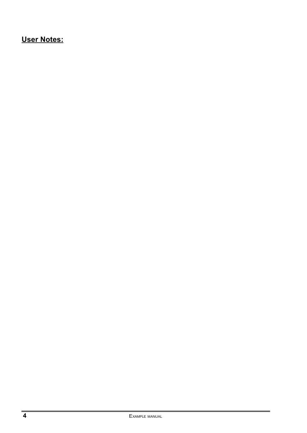### **User Notes:**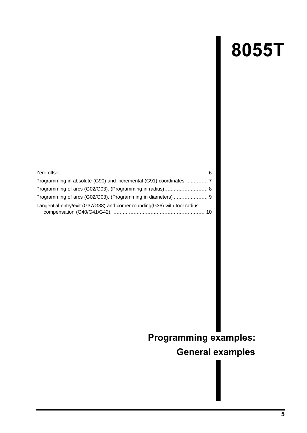# **8055T**

<span id="page-7-0"></span>

| Programming in absolute (G90) and incremental (G91) coordinates.  7       |  |
|---------------------------------------------------------------------------|--|
|                                                                           |  |
|                                                                           |  |
| Tangential entry/exit (G37/G38) and corner rounding(G36) with tool radius |  |

### **Programming examples: General examples**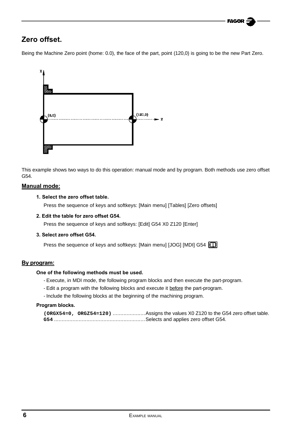### **FAGOR**

### <span id="page-8-0"></span>**Zero offset.**

Being the Machine Zero point (home: 0.0), the face of the part, point (120,0) is going to be the new Part Zero.



This example shows two ways to do this operation: manual mode and by program. Both methods use zero offset G54.

#### **Manual mode:**

#### **1. Select the zero offset table.**

Press the sequence of keys and softkeys: [Main menu] [Tables] [Zero offsets]

#### **2. Edit the table for zero offset G54.**

Press the sequence of keys and softkeys: [Edit] G54 X0 Z120 [Enter]

#### **3. Select zero offset G54.**

Press the sequence of keys and softkeys: [Main menu] [JOG] [MDI] G54 [11]

#### **By program:**

#### **One of the following methods must be used.**

- Execute, in MDI mode, the following program blocks and then execute the part-program.
- Edit a program with the following blocks and execute it before the part-program.
- Include the following blocks at the beginning of the machining program.

#### **Program blocks.**

|  | (ORGX54=0, ORGZ54=120) Assigns the values X0 Z120 to the G54 zero offset table. |
|--|---------------------------------------------------------------------------------|
|  |                                                                                 |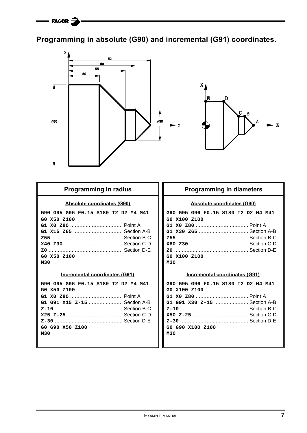### <span id="page-9-0"></span>**Programming in absolute (G90) and incremental (G91) coordinates.**



#### **Programming in radius**

#### **Absolute coordinates (G90)**

| G90 G95 G96 F0.15 S180 T2 D2 M4 M41 |  |
|-------------------------------------|--|
| GO X50 Z100                         |  |
|                                     |  |
|                                     |  |
|                                     |  |
|                                     |  |
|                                     |  |
| GO X50 Z100                         |  |
| M30                                 |  |

#### **Incremental coordinates (G91)**

| G90 G95 G96 F0.15 S180 T2 D2 M4 M41 |  |  |  |
|-------------------------------------|--|--|--|
| GO X50 Z100                         |  |  |  |
|                                     |  |  |  |
| G1 G91 X15 Z-15  Section A-B        |  |  |  |
|                                     |  |  |  |
|                                     |  |  |  |
|                                     |  |  |  |
| GO G90 X50 Z100                     |  |  |  |
| м30                                 |  |  |  |
|                                     |  |  |  |

#### **Programming in diameters**

#### **Absolute coordinates (G90)**

| G90 G95 G96 F0.15 S180 T2 D2 M4 M41 |  |  |  |
|-------------------------------------|--|--|--|
| GO X100 Z100                        |  |  |  |
|                                     |  |  |  |
|                                     |  |  |  |
|                                     |  |  |  |
|                                     |  |  |  |
|                                     |  |  |  |
| GO X100 Z100                        |  |  |  |
| M30                                 |  |  |  |

#### **Incremental coordinates (G91)**

| G90 G95 G96 F0.15 S180 T2 D2 M4 M41 |  |  |  |
|-------------------------------------|--|--|--|
| GO X100 Z100                        |  |  |  |
|                                     |  |  |  |
| G1 G91 X30 Z-15  Section A-B        |  |  |  |
|                                     |  |  |  |
|                                     |  |  |  |
|                                     |  |  |  |
| GO G90 X100 Z100                    |  |  |  |
| M30                                 |  |  |  |
|                                     |  |  |  |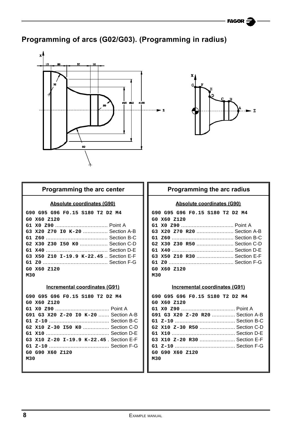### <span id="page-10-0"></span>**Programming of arcs (G02/G03). (Programming in radius)**





#### **Programming the arc center**

#### **Absolute coordinates (G90)**

**G90 G95 G96 F0.15 S180 T2 D2 M4 G0 X60 Z120 G1 X0 Z90** .................................. Point A **G3 X20 Z70 I0 K-20** ................ Section A-B **G1 Z60** ........................................ Section B-C **G2 X30 Z30 I50 K0** .................. Section C-D **G1 X40** ........................................ Section D-E **G3 X50 Z10 I-19.9 K-22.45** .. Section E-F **G1 Z0** .......................................... Section F-G **G0 X60 Z120 M30**

#### **Incremental coordinates (G91)**

| G90 G95 G96 F0.15 S180 T2 D2 M4         |
|-----------------------------------------|
| GO X60 Z120                             |
|                                         |
| G91 G3 X20 Z-20 IO K-20  Section A-B    |
|                                         |
| G2 X10 Z-30 I50 K0  Section C-D         |
|                                         |
| G3 X10 Z-20 I-19.9 K-22.45, Section E-F |
|                                         |
| GO G90 X60 Z120                         |
| M30                                     |
|                                         |

#### **Programming the arc radius**

#### **Absolute coordinates (G90)**

|     |             |  | G90 G95 G96 F0.15 S180 T2 D2 M4 |  |  |
|-----|-------------|--|---------------------------------|--|--|
|     | GO X60 Z120 |  |                                 |  |  |
|     |             |  | G1 X0 Z90  Point A              |  |  |
|     |             |  | G3 X20 Z70 R20  Section A-B     |  |  |
|     |             |  |                                 |  |  |
|     |             |  | G2 X30 Z30 R50  Section C-D     |  |  |
|     |             |  |                                 |  |  |
|     |             |  | G3 X50 Z10 R30  Section E-F     |  |  |
|     |             |  |                                 |  |  |
|     | GO X60 Z120 |  |                                 |  |  |
| M30 |             |  |                                 |  |  |

#### **Incremental coordinates (G91)**

| G90 G95 G96 F0.15 S180 T2 D2 M4  |  |
|----------------------------------|--|
| GO X60 Z120                      |  |
|                                  |  |
| G91 G3 X20 Z-20 R20  Section A-B |  |
|                                  |  |
| G2 X10 Z-30 R50  Section C-D     |  |
|                                  |  |
| G3 X10 Z-20 R30  Section E-F     |  |
|                                  |  |
| GO G90 X60 Z120                  |  |
| M30                              |  |
|                                  |  |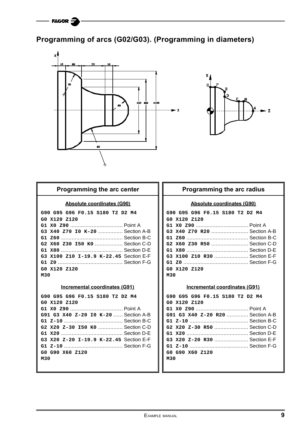### <span id="page-11-0"></span>**Programming of arcs (G02/G03). (Programming in diameters)**





#### **Programming the arc center**

#### **Absolute coordinates (G90)**

| G90 G95 G96 F0.15 S180 T2 D2 M4        |
|----------------------------------------|
| GO X120 Z120                           |
|                                        |
| G3 X40 Z70 I0 K-20  Section A-B        |
|                                        |
| G2 X60 Z30 I50 K0  Section C-D         |
|                                        |
| G3 X100 Z10 I-19.9 K-22.45 Section E-F |
|                                        |
| GO X120 Z120                           |
| M30                                    |

#### **Incremental coordinates (G91)**

| G90 G95 G96 F0.15 S180 T2 D2 M4        |
|----------------------------------------|
| GO X120 Z120                           |
|                                        |
| G91 G3 X40 Z-20 IO K-20  Section A-B   |
|                                        |
| G2 X20 Z-30 I50 K0  Section C-D        |
|                                        |
| G3 X20 Z-20 I-19.9 K-22.45 Section E-F |
|                                        |
| GO G90 X60 Z120                        |
| M30                                    |
|                                        |

#### **Programming the arc radius**

#### **Absolute coordinates (G90)**

|     | G90 G95 G96 F0.15 S180 T2 D2 M4 |  |  |  |
|-----|---------------------------------|--|--|--|
|     | GO X120 Z120                    |  |  |  |
|     |                                 |  |  |  |
|     | G3 X40 Z70 R20  Section A-B     |  |  |  |
|     |                                 |  |  |  |
|     | G2 X60 Z30 R50  Section C-D     |  |  |  |
|     |                                 |  |  |  |
|     | G3 X100 Z10 R30  Section E-F    |  |  |  |
|     |                                 |  |  |  |
|     | GO X120 Z120                    |  |  |  |
| M30 |                                 |  |  |  |

#### **Incremental coordinates (G91)**

| G90 G95 G96 F0.15 S180 T2 D2 M4  |
|----------------------------------|
| GO X120 Z120                     |
|                                  |
| G91 G3 X40 Z-20 R20  Section A-B |
|                                  |
|                                  |
|                                  |
| G3 X20 Z-20 R30  Section E-F     |
|                                  |
| GO G90 X60 Z120                  |
| M30                              |
|                                  |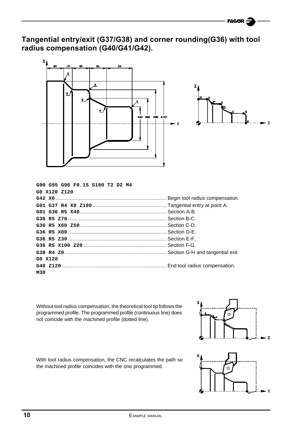**Tangential entry/exit (G37/G38) and corner rounding(G36) with tool radius compensation (G40/G41/G42).**



| G90 G95 G96 F0.15 S180 T2 D2 M4 |  |
|---------------------------------|--|
| GO X120 Z120                    |  |
|                                 |  |
|                                 |  |
|                                 |  |
|                                 |  |
|                                 |  |
|                                 |  |
|                                 |  |
|                                 |  |
|                                 |  |
| G0 X120                         |  |
|                                 |  |
| M30                             |  |

Without tool radius compensation, the theoretical tool tip follows the programmed profile. The programmed profile (continuous line) does not coincide with the machined profile (dotted line).



With tool radius compensation, the CNC recalculates the path so the machined profile coincides with the one programmed.

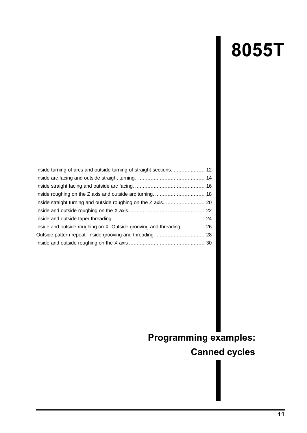# **8055T**

<span id="page-13-0"></span>

| Inside turning of arcs and outside turning of straight sections.  12  |  |
|-----------------------------------------------------------------------|--|
|                                                                       |  |
|                                                                       |  |
|                                                                       |  |
|                                                                       |  |
|                                                                       |  |
|                                                                       |  |
| Inside and outside roughing on X. Outside grooving and threading.  26 |  |
|                                                                       |  |
|                                                                       |  |

### **Programming examples:**

**Canned cycles**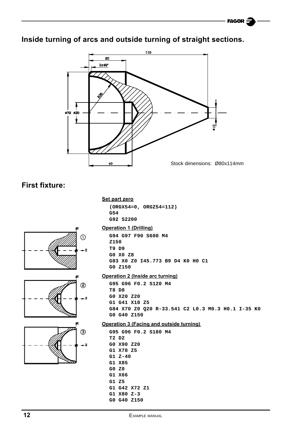### <span id="page-14-0"></span>**Inside turning of arcs and outside turning of straight sections.**



### **First fixture:**

#### **Set part zero**

**(ORGX54=0, ORGZ54=112) G54 G92 S2200**







#### **Operation 1 (Drilling)**

**G94 G97 F90 S600 M4 Z150 T9 D9 G0 X0 Z8 G83 X0 Z0 I45.773 B9 D4 K0 H0 C1 G0 Z150**

#### **Operation 2 (Inside arc turning)**

**G95 G96 F0.2 S120 M4 T8 D8 G0 X20 Z20 G1 G41 X18 Z5 G84 X70 Z0 Q20 R-33.541 C2 L0.3 M0.3 H0.1 I-35 K0 G0 G40 Z150**

#### **Operation 3 (Facing and outside turning)**

**G95 G96 F0.2 S180 M4 T2 D2 G0 X90 Z20 G1 X78 Z5 G1 Z-40 G1 X85 G0 Z0 G1 X66 G1 Z5 G1 G42 X72 Z1 G1 X80 Z-3 G0 G40 Z150**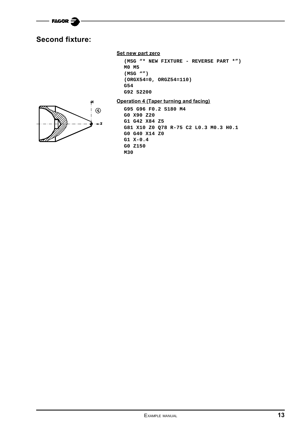

### **Second fixture:**



#### **Set new part zero**

```
(MSG "* NEW FIXTURE - REVERSE PART *")
M0 M5
(MSG "")
(ORGX54=0, ORGZ54=110)
G54
G92 S2200
```
#### **Operation 4 (Taper turning and facing)**

**G95 G96 F0.2 S180 M4 G0 X90 Z20 G1 G42 X84 Z5 G81 X10 Z0 Q78 R-75 C2 L0.3 M0.3 H0.1 G0 G40 X14 Z0 G1 X-0.4 G0 Z150 M30**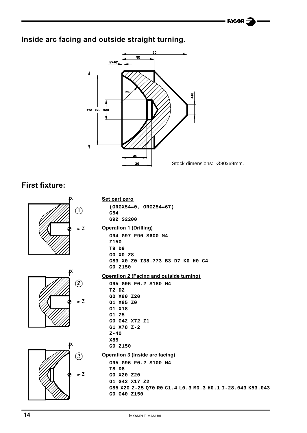### <span id="page-16-0"></span>**Inside arc facing and outside straight turning.**



### **First fixture:**





#### **Set part zero**

**(ORGX54=0, ORGZ54=67) G54 G92 S2200**

#### **Operation 1 (Drilling)**

**G94 G97 F90 S600 M4 Z150 T9 D9 G0 X0 Z8 G83 X0 Z0 I38.773 B3 D7 K0 H0 C4 G0 Z150**

#### **Operation 2 (Facing and outside turning)**

**G95 G96 F0.2 S180 M4 T2 D2 G0 X90 Z20 G1 X85 Z0 G1 X18 G1 Z5 G0 G42 X72 Z1 G1 X78 Z-2 Z-40 X85 G0 Z150**

#### **Operation 3 (Inside arc facing)**

**G95 G96 F0.2 S100 M4 T8 D8 G0 X20 Z20 G1 G42 X17 Z2 G85 X20 Z-25 Q70 R0 C1.4 L0.3 M0.3 H0.1 I-28.043 K53.043 G0 G40 Z150**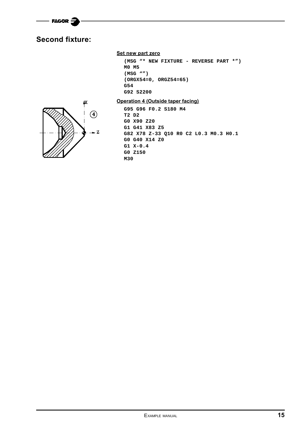

### **Second fixture:**

#### **Set new part zero**

```
(MSG "* NEW FIXTURE - REVERSE PART *")
M0 M5
(MSG "")
(ORGX54=0, ORGZ54=65)
G54
G92 S2200
```
**Operation 4 (Outside taper facing)**



**G95 G96 F0.2 S180 M4 T2 D2 G0 X90 Z20 G1 G41 X83 Z5 G82 X78 Z-33 Q10 R0 C2 L0.3 M0.3 H0.1 G0 G40 X14 Z0 G1 X-0.4 G0 Z150 M30**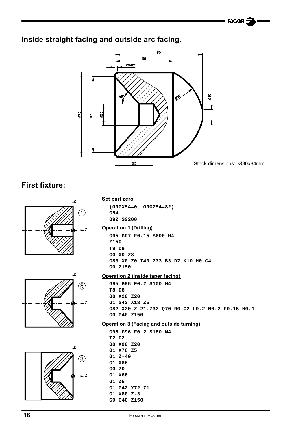### <span id="page-18-0"></span>**Inside straight facing and outside arc facing.**



### **First fixture:**







#### **Set part zero**

**(ORGX54=0, ORGZ54=82) G54 G92 S2200**

#### **Operation 1 (Drilling)**

**G95 G97 F0.15 S600 M4 Z150 T9 D9 G0 X0 Z8 G83 X0 Z0 I40.773 B3 D7 K10 H0 C4 G0 Z150**

#### **Operation 2 (Inside taper facing)**

**G95 G96 F0.2 S100 M4 T8 D8 G0 X20 Z20 G1 G42 X18 Z5 G82 X20 Z-21.732 Q70 R0 C2 L0.2 M0.2 F0.15 H0.1 G0 G40 Z150**

#### **Operation 3 (Facing and outside turning)**

|       |                |  | G95 G96 F0.2 S180 M4 |  |
|-------|----------------|--|----------------------|--|
| T2 D2 |                |  |                      |  |
|       | GO X90 Z20     |  |                      |  |
|       | G1 X78 Z5      |  |                      |  |
|       | G1 Z-40        |  |                      |  |
|       | G1 X85         |  |                      |  |
| G0 Z0 |                |  |                      |  |
|       | G1 X66         |  |                      |  |
| G1Z5  |                |  |                      |  |
|       | G1 G42 X72 Z1  |  |                      |  |
|       | $G1$ X80 $Z-3$ |  |                      |  |
|       | GO G40 Z150    |  |                      |  |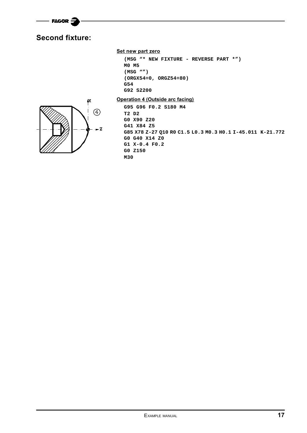

### **Second fixture:**

#### **Set new part zero**

```
(MSG "* NEW FIXTURE - REVERSE PART *")
M0 M5
(MSG "")
(ORGX54=0, ORGZ54=80)
G54
G92 S2200
```


#### **Operation 4 (Outside arc facing)**

```
G95 G96 F0.2 S180 M4
T2 D2
G0 X90 Z20
G41 X84 Z5
G85 X78 Z-27 Q10 R0 C1.5 L0.3 M0.3 H0.1 I-45.011 K-21.772
G0 G40 X14 Z0
G1 X-0.4 F0.2
G0 Z150
M30
```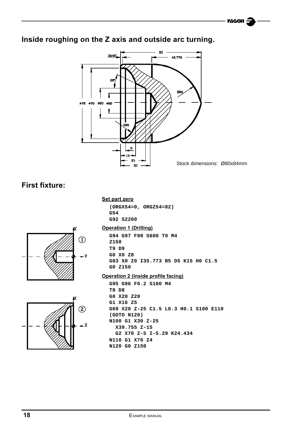### <span id="page-20-0"></span>**Inside roughing on the Z axis and outside arc turning.**



### **First fixture:**

#### **Set part zero**

**(ORGX54=0, ORGZ54=82) G54 G92 S2200**





#### **Operation 1 (Drilling)**

**G94 G97 F90 S600 T9 M4 Z150 T9 D9 G0 X0 Z8 G83 X0 Z0 I35.773 B5 D5 K15 H0 C1.5 G0 Z150**

#### **Operation 2 (Inside profile facing)**

**G95 G96 F0.2 S100 M4 T8 D8 G0 X20 Z20 G1 X16 Z5 G69 X20 Z-25 C1.5 L0.3 H0.1 S100 E110 (GOTO N120) N100 G1 X30 Z-25 X39.755 Z-15 G2 X70 Z-5 I-5.29 K24.434 N110 G1 X70 Z4 N120 G0 Z150**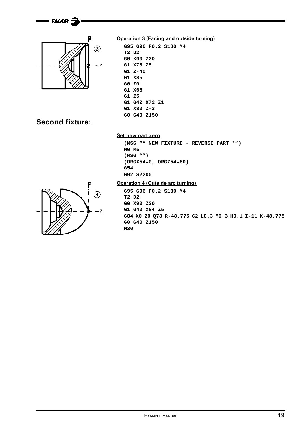



#### **Operation 3 (Facing and outside turning)**

```
G95 G96 F0.2 S180 M4
T2 D2
G0 X90 Z20
G1 X78 Z5
G1 Z-40
G1 X85
G0 Z0
G1 X66
G1 Z5
G1 G42 X72 Z1
G1 X80 Z-3
G0 G40 Z150
```
### **Second fixture:**

#### **Set new part zero**

```
(MSG "* NEW FIXTURE - REVERSE PART *")
M0 M5
(MSG "")
(ORGX54=0, ORGZ54=80)
G54
G92 S2200
```


#### **Operation 4 (Outside arc turning)**

**G95 G96 F0.2 S180 M4 T2 D2 G0 X90 Z20 G1 G42 X84 Z5 G84 X0 Z0 Q78 R-48.775 C2 L0.3 M0.3 H0.1 I-11 K-48.775 G0 G40 Z150 M30**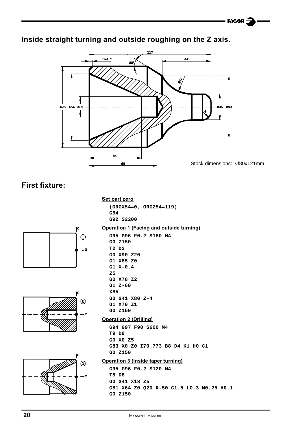### <span id="page-22-0"></span>**Inside straight turning and outside roughing on the Z axis.**



### **First fixture:**

#### **Set part zero**

```
(ORGX54=0, ORGZ54=119)
G54
G92 S2200
```
**Operation 1 (Facing and outside turning)**







#### **G95 G96 F0.2 S180 M4 G0 Z150 T2 D2 G0 X90 Z20 G1 X85 Z0 G1 X-0.4 Z5 G0 X78 Z2 G1 Z-60 X85 G0 G41 X80 Z-4 G1 X70 Z1 G0 Z150 Operation 2 (Drilling) G94 G97 F90 S600 M4 T9 D9 G0 X0 Z5 G83 X0 Z0 I70.773 B8 D4 K1 H0 C1 G0 Z150**

#### **Operation 3 (Inside taper turning)**

**G95 G96 F0.2 S120 M4 T8 D8 G0 G41 X18 Z5 G81 X64 Z0 Q20 R-50 C1.5 L0.3 M0.25 H0.1 G0 Z150**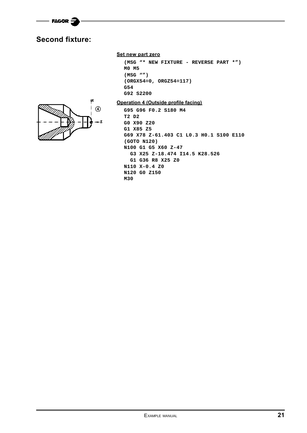

### **Second fixture:**



```
(MSG "* NEW FIXTURE - REVERSE PART *")
M0 M5
(MSG "")
(ORGX54=0, ORGZ54=117)
G54
G92 S2200
```


**Operation 4 (Outside profile facing)**

**G95 G96 F0.2 S180 M4 T2 D2 G0 X90 Z20 G1 X85 Z5 G69 X78 Z-61.403 C1 L0.3 H0.1 S100 E110 (GOTO N120) N100 G1 G5 X60 Z-47 G3 X25 Z-18.474 I14.5 K28.526 G1 G36 R8 X25 Z0 N110 X-0.4 Z0 N120 G0 Z150 M30**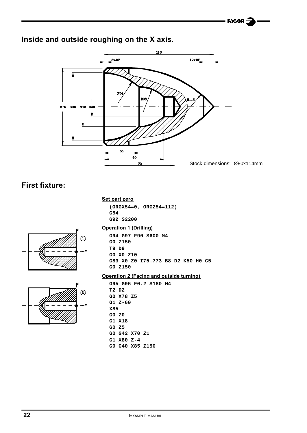### <span id="page-24-0"></span>**Inside and outside roughing on the X axis.**



### **First fixture:**

#### **Set part zero**

**(ORGX54=0, ORGZ54=112) G54 G92 S2200**





#### **Operation 1 (Drilling)**

**G94 G97 F90 S600 M4 G0 Z150 T9 D9 G0 X0 Z10 G83 X0 Z0 I75.773 B8 D2 K50 H0 C5 G0 Z150**

#### **Operation 2 (Facing and outside turning)**

**G95 G96 F0.2 S180 M4 T2 D2 G0 X78 Z5 G1 Z-60 X85 G0 Z0 G1 X18 G0 Z5 G0 G42 X70 Z1 G1 X80 Z-4 G0 G40 X85 Z150**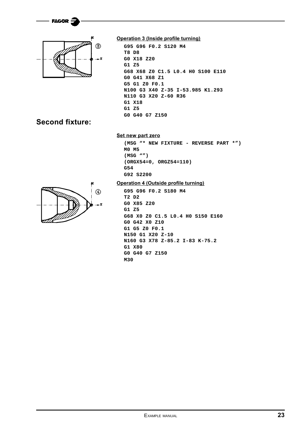

**FAGOR** 

#### **Operation 3 (Inside profile turning)**

```
G95 G96 F0.2 S120 M4
T8 D8
G0 X18 Z20
G1 Z5
G68 X68 Z0 C1.5 L0.4 H0 S100 E110
G0 G41 X68 Z1
G5 G1 Z0 F0.1
N100 G3 X40 Z-35 I-53.985 K1.293
N110 G3 X20 Z-60 R36
G1 X18
G1 Z5
G0 G40 G7 Z150
```
### **Second fixture:**

#### **Set new part zero**

```
(MSG "* NEW FIXTURE - REVERSE PART *")
M0 M5
(MSG "")
(ORGX54=0, ORGZ54=110)
G54
G92 S2200
```


```
G95 G96 F0.2 S180 M4
T2 D2
G0 X85 Z20
G1 Z5
G68 X0 Z0 C1.5 L0.4 H0 S150 E160
G0 G42 X0 Z10
G1 G5 Z0 F0.1
N150 G1 X20 Z-10
N160 G3 X78 Z-85.2 I-83 K-75.2
G1 X80
G0 G40 G7 Z150
M30
```
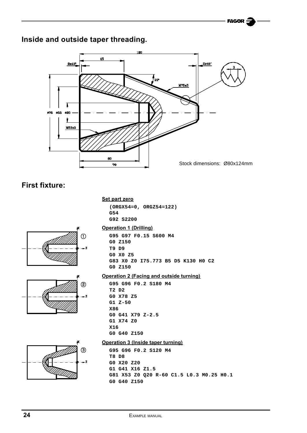### <span id="page-26-0"></span>**Inside and outside taper threading.**



### **First fixture:**

#### **Set part zero**

**(ORGX54=0, ORGZ54=122) G54 G92 S2200**





#### **Operation 1 (Drilling)**

**G95 G97 F0.15 S600 M4 G0 Z150 T9 D9 G0 X0 Z5 G83 X0 Z0 I75.773 B5 D5 K130 H0 C2 G0 Z150**

#### **Operation 2 (Facing and outside turning)**

**G95 G96 F0.2 S180 M4 T2 D2 G0 X78 Z5 G1 Z-50 X86 G0 G41 X79 Z-2.5 G1 X74 Z0 X16 G0 G40 Z150**



#### **Operation 3 (Inside taper turning)**

**G95 G96 F0.2 S120 M4 T8 D8 G0 X20 Z20 G1 G41 X16 Z1.5 G81 X53 Z0 Q20 R-60 C1.5 L0.3 M0.25 H0.1 G0 G40 Z150**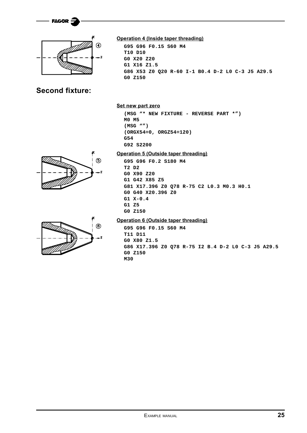



### **Second fixture:**



**G95 G96 F0.15 S60 M4 T10 D10 G0 X20 Z20 G1 X16 Z1.5 G86 X53 Z0 Q20 R-60 I-1 B0.4 D-2 L0 C-3 J5 A29.5 G0 Z150**

#### **Set new part zero**

**(MSG "\* NEW FIXTURE - REVERSE PART \*") M0 M5 (MSG "") (ORGX54=0, ORGZ54=120) G54 G92 S2200**

### **Operation 5 (Outside taper threading)**





**G95 G96 F0.2 S180 M4 T2 D2 G0 X90 Z20 G1 G42 X85 Z5 G81 X17.396 Z0 Q78 R-75 C2 L0.3 M0.3 H0.1 G0 G40 X20.396 Z0 G1 X-0.4 G1 Z5 G0 Z150**

#### **Operation 6 (Outside taper threading)**

**G95 G96 F0.15 S60 M4 T11 D11 G0 X80 Z1.5 G86 X17.396 Z0 Q78 R-75 I2 B.4 D-2 L0 C-3 J5 A29.5 G0 Z150 M30**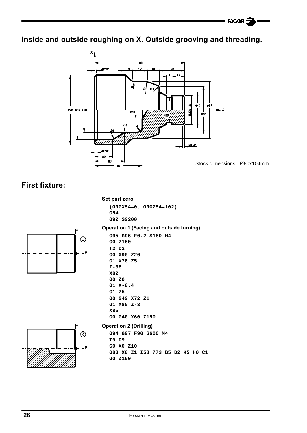<span id="page-28-0"></span>**Inside and outside roughing on X. Outside grooving and threading.**



### **First fixture:**

#### **Set part zero**

**(ORGX54=0, ORGZ54=102) G54 G92 S2200**



#### **Operation 1 (Facing and outside turning) G95 G96 F0.2 S180 M4**

|            | GO Z150        |               |                 |
|------------|----------------|---------------|-----------------|
| T2 D2      |                |               |                 |
|            | GO X90 Z20     |               |                 |
|            | G1 X78 Z5      |               |                 |
| $Z - 38$   |                |               |                 |
| X82        |                |               |                 |
| G0 Z0      |                |               |                 |
|            | $G1 \ X-0.4$   |               |                 |
| G1Z5       |                |               |                 |
|            |                | GO G42 X72 Z1 |                 |
|            | $G1$ X80 $Z-3$ |               |                 |
| <b>X85</b> |                |               |                 |
|            |                |               | GO G40 X60 Z150 |



#### **Operation 2 (Drilling)**

**G94 G97 F90 S600 M4 T9 D9 G0 X0 Z10 G83 X0 Z1 I58.773 B5 D2 K5 H0 C1 G0 Z150**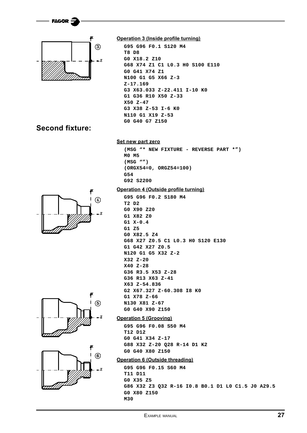



#### **Operation 3 (Inside profile turning)**

```
G95 G96 F0.1 S120 M4
T8 D8
G0 X18.2 Z10
G68 X74 Z1 C1 L0.3 H0 S100 E110
G0 G41 X74 Z1
N100 G1 G5 X66 Z-3
Z-17.169
G3 X63.033 Z-22.411 I-10 K0
G1 G36 R10 X50 Z-33
X50 Z-47
G3 X38 Z-53 I-6 K0
N110 G1 X19 Z-53
G0 G40 G7 Z150
```
### **Second fixture:**

# $\circled{4}$







**Set new part zero**

**(MSG "\* NEW FIXTURE - REVERSE PART \*") M0 M5 (MSG "") (ORGX54=0, ORGZ54=100) G54 G92 S2200**

#### **Operation 4 (Outside profile turning)**

```
G95 G96 F0.2 S180 M4
T2 D2
G0 X90 Z20
G1 X82 Z0
G1 X-0.4
G1 Z5
G0 X82.5 Z4
G68 X27 Z0.5 C1 L0.3 H0 S120 E130
G1 G42 X27 Z0.5
N120 G1 G5 X32 Z-2
X32 Z-20
X40 Z-28
G36 R3.5 X53 Z-28
G36 R13 X63 Z-41
X63 Z-54.836
G2 X67.327 Z-60.308 I8 K0
G1 X78 Z-66
N130 X81 Z-67
G0 G40 X90 Z150
```
#### **Operation 5 (Grooving)**

**G95 G96 F0.08 S50 M4 T12 D12 G0 G41 X34 Z-17 G88 X32 Z-20 Q28 R-14 D1 K2 G0 G40 X80 Z150**

#### **Operation 6 (Outside threading)**

```
G95 G96 F0.15 S60 M4
T11 D11
G0 X35 Z5
G86 X32 Z3 Q32 R-16 I0.8 B0.1 D1 L0 C1.5 J0 A29.5
G0 X80 Z150
M30
```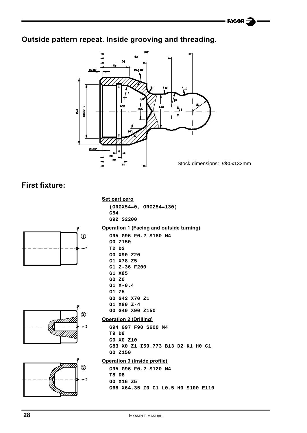### **Outside pattern repeat. Inside grooving and threading.**



### **First fixture:**

#### **Set part zero**

**G0 Z150 T2 D2 G0 X90 Z20 G1 X78 Z5 G1 Z-36 F200**

**G1 X85 G0 Z0 G1 X-0.4 G1 Z5**

**(ORGX54=0, ORGZ54=130) G54 G92 S2200**

**G95 G96 F0.2 S180 M4**

**Operation 1 (Facing and outside turning)**









#### **G0 G40 X90 Z150 Operation 2 (Drilling)**

**G0 G42 X70 Z1 G1 X80 Z-4**

**G94 G97 F90 S600 M4 T9 D9 G0 X0 Z10 G83 X0 Z1 I59.773 B13 D2 K1 H0 C1 G0 Z150**

#### **Operation 3 (Inside profile)**

**G95 G96 F0.2 S120 M4 T8 D8 G0 X16 Z5 G68 X64.35 Z0 C1 L0.5 H0 S100 E110**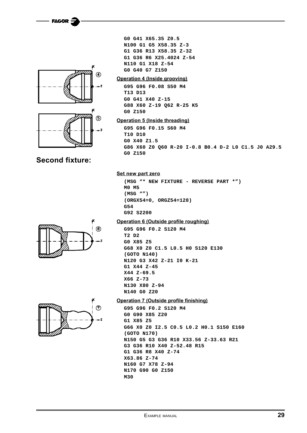**FAGOR** 





#### **Second fixture:**

**G0 G41 X65.35 Z0.5 N100 G1 G5 X58.35 Z-3 G1 G36 R13 X58.35 Z-32 G1 G36 R6 X25.4024 Z-54 N110 G1 X18 Z-54 G0 G40 G7 Z150**

#### **Operation 4 (Inside grooving)**

**G95 G96 F0.08 S50 M4 T13 D13 G0 G41 X40 Z-15 G88 X60 Z-19 Q62 R-25 K5 G0 Z150**

#### **Operation 5 (Inside threading)**

```
G95 G96 F0.15 S60 M4
T10 D10
G0 X40 Z1.5
G86 X60 Z0 Q60 R-20 I-0.8 B0.4 D-2 L0 C1.5 J0 A29.5
G0 Z150
```
#### **Set new part zero**

**(MSG "\* NEW FIXTURE - REVERSE PART \*") M0 M5 (MSG "") (ORGX54=0, ORGZ54=128) G54 G92 S2200**

#### **Operation 6 (Outside profile roughing)**

```
G95 G96 F0.2 S120 M4
T2 D2
G0 X85 Z5
G68 X0 Z0 C1.5 L0.5 H0 S120 E130
(GOTO N140)
N120 G3 X42 Z-21 I0 K-21
G1 X44 Z-45
X44 Z-69.5
X66 Z-73
N130 X80 Z-94
N140 G0 Z20
```


#### **Operation 7 (Outside profile finishing)**

```
G95 G96 F0.2 S120 M4
G0 G90 X85 Z20
G1 X85 Z5
G66 X0 Z0 I2.5 C0.5 L0.2 H0.1 S150 E160
(GOTO N170)
N150 G5 G3 G36 R10 X33.56 Z-33.63 R21
G3 G36 R10 X40 Z-52.48 R15
G1 G36 R8 X40 Z-74
X63.86 Z-74
N160 G7 X78 Z-94
N170 G90 G0 Z150
M30
```
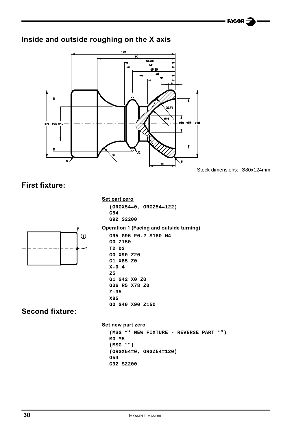### **Inside and outside roughing on the X axis**



Stock dimensions: Ø80x124mm

### **First fixture:**

#### **Set part zero**

**(ORGX54=0, ORGZ54=122) G54 G92 S2200**



#### **Operation 1 (Facing and outside turning)**

**G95 G96 F0.2 S180 M4 G0 Z150 T2 D2 G0 X90 Z20 G1 X85 Z0 X-0.4 Z5 G1 G42 X0 Z0 G36 R5 X78 Z0 Z-35 X85 G0 G40 X90 Z150**

### **Second fixture:**

#### **Set new part zero**

**(MSG "\* NEW FIXTURE - REVERSE PART \*") M0 M5 (MSG "") (ORGX54=0, ORGZ54=120) G54 G92 S2200**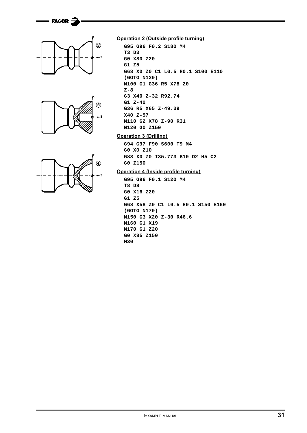







#### **Operation 2 (Outside profile turning)**

```
G95 G96 F0.2 S180 M4
T3 D3
G0 X80 Z20
G1 Z5
G68 X0 Z0 C1 L0.5 H0.1 S100 E110
(GOTO N120)
N100 G1 G36 R5 X78 Z0
Z-8
G3 X40 Z-32 R92.74
G1 Z-42
G36 R5 X65 Z-49.39
X40 Z-57
N110 G2 X78 Z-90 R31
N120 G0 Z150
```
#### **Operation 3 (Drilling)**

**G94 G97 F90 S600 T9 M4 G0 X0 Z10 G83 X0 Z0 I35.773 B10 D2 H5 C2 G0 Z150**

#### **Operation 4 (Inside profile turning)**

**G95 G96 F0.1 S120 M4 T8 D8 G0 X16 Z20 G1 Z5 G68 X58 Z0 C1 L0.5 H0.1 S150 E160 (GOTO N170) N150 G3 X20 Z-30 R46.6 N160 G1 X19 N170 G1 Z20 G0 X85 Z150 M30**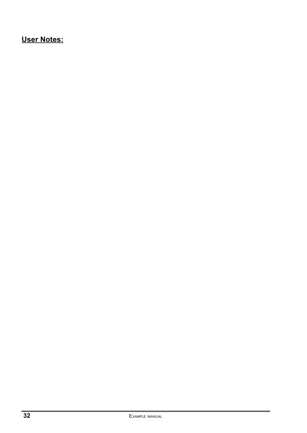### **User Notes:**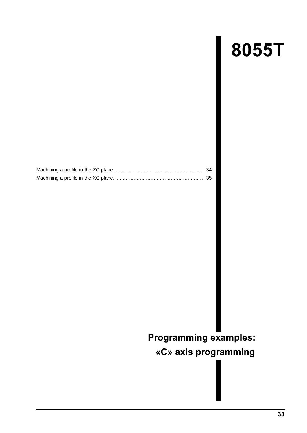# **8055T**

<span id="page-35-0"></span>

## **Programming examples:**

**«C» axis programming**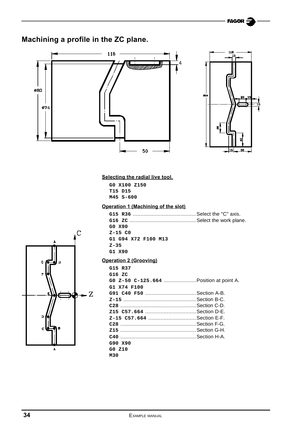FAGOR

### **Machining a profile in the ZC plane.**





#### **Selecting the radial live tool.**

**G0 X100 Z150 T15 D15 M45 S-600**

#### **Operation 1 (Machining of the slot)**

| GO X90              |  |
|---------------------|--|
| $Z-15$ CO           |  |
| G1 G94 X72 F100 M13 |  |
| $Z - 35$            |  |
| G1 X90              |  |



#### **Operation 2 (Grooving)**

| G15 R37<br>G16 ZC                      |  |
|----------------------------------------|--|
| G0 z-50 C-125.664 Position at point A. |  |
| G1 X74 F100                            |  |
| G91 C40 F50 Section A-B.               |  |
|                                        |  |
|                                        |  |
|                                        |  |
|                                        |  |
|                                        |  |
|                                        |  |
|                                        |  |
| G90 X90                                |  |
| GO Z10                                 |  |
| M30                                    |  |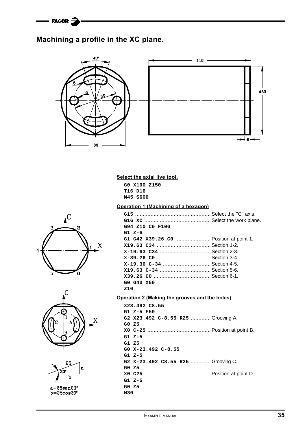### **Machining a profile in the XC plane.**



#### **Select the axial live tool.**

**G0 X100 Z150 T16 D16 M45 S600**

#### **Operation 1 (Machining of a hexagon)**

| G94 Z10 CO F100                        |  |
|----------------------------------------|--|
| $G1 \, Z-6$                            |  |
| G1 G42 X39.26 C0  Position at point 1. |  |
|                                        |  |
|                                        |  |
|                                        |  |
| X-19.36 C-34  Section 4-5.             |  |
|                                        |  |
|                                        |  |
| GO G40 X50                             |  |
| Z10                                    |  |

#### **Operation 2 (Making the grooves and the holes)**

|     | x23.492 C8.55                     |
|-----|-----------------------------------|
|     | G1 Z-5 F50                        |
|     | G2 X23.492 C-8.55 R25 Grooving A. |
|     | GO Z5                             |
|     |                                   |
|     | G1 Z-5                            |
|     | G1 Z5                             |
|     | GO X-23.492 C-8.55                |
|     | G1 Z-5                            |
|     | G2 X-23.492 C8.55 R25 Grooving C. |
|     | G0 Z5                             |
|     |                                   |
|     | G1 Z-5                            |
|     | G0 Z5                             |
| M30 |                                   |







a=25sen20°<br>b=25cos20°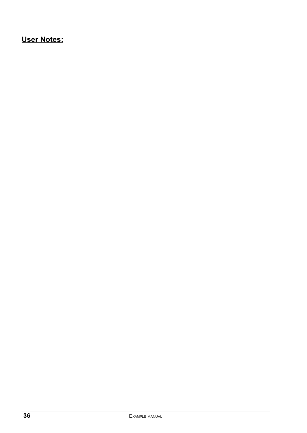### **User Notes:**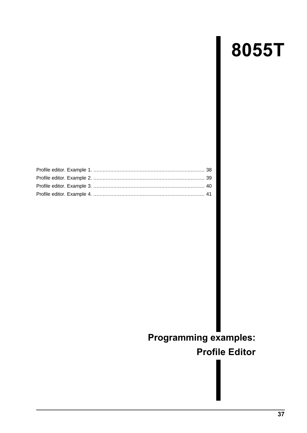# **8055T**

<span id="page-39-0"></span>

### **Programming examples:**

### **Profile Editor**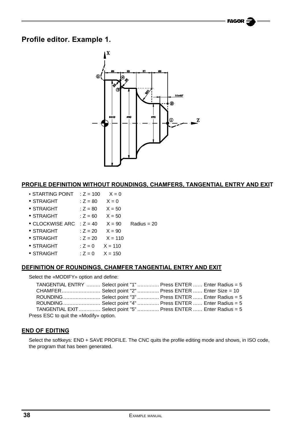### <span id="page-40-0"></span>**Profile editor. Example 1.**



#### **PROFILE DEFINITION WITHOUT ROUNDINGS, CHAMFERS, TANGENTIAL ENTRY AND EXIT**

- STARTING POINT  $: Z = 100$   $X = 0$
- STRAIGHT  $: Z = 80$   $X = 0$
- STRAIGHT  $: Z = 80$   $X = 50$
- $\bullet$  STRAIGHT  $\qquad$   $: Z = 60$   $X = 50$
- CLOCKWISE ARC  $: Z = 40$   $X = 90$  Radius = 20
- STRAIGHT  $: Z = 20$   $X = 90$
- STRAIGHT  $: Z = 20$   $X = 110$
- $\bullet$  STRAIGHT :  $Z = 0$   $X = 110$
- $\bullet$  STRAIGHT :  $Z = 0$   $X = 150$

#### **DEFINITION OF ROUNDINGS, CHAMFER TANGENTIAL ENTRY AND EXIT**

Select the «MODIFY» option and define:

| TANGENTIAL ENTRY  Select point "1"  Press ENTER  Enter Radius = 5 |  |  |  |
|-------------------------------------------------------------------|--|--|--|
| CHAMFER Select point "2"  Press ENTER  Enter Size = 10            |  |  |  |
| ROUNDING  Select point "3"  Press ENTER  Enter Radius = 5         |  |  |  |
| ROUNDING  Select point "4"  Press ENTER  Enter Radius = 5         |  |  |  |
| TANGENTIAL EXIT  Select point "5"  Press ENTER  Enter Radius = 5  |  |  |  |
| Press ESC to quit the «Modify» option.                            |  |  |  |

#### **END OF EDITING**

Select the softkeys: END + SAVE PROFILE. The CNC quits the profile editing mode and shows, in ISO code, the program that has been generated.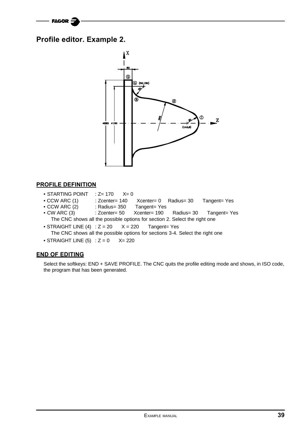### <span id="page-41-0"></span>**Profile editor. Example 2.**



#### **PROFILE DEFINITION**

- $\bullet$  STARTING POINT : Z= 170  $X=0$
- CCW ARC (1) : Zcenter= 140 Xcenter= 0 Radius= 30 Tangent= Yes
- CCW ARC (2) : Radius= 350 Tangent= Yes
- CW ARC (3) : Zcenter= 50 Xcenter= 190 Radius= 30 Tangent= Yes The CNC shows all the possible options for section 2. Select the right one
- STRAIGHT LINE  $(4)$  : Z = 20  $X = 220$  Tangent= Yes The CNC shows all the possible options for sections 3-4. Select the right one
- STRAIGHT LINE  $(5)$  :  $Z = 0$  X= 220

#### **END OF EDITING**

Select the softkeys: END + SAVE PROFILE. The CNC quits the profile editing mode and shows, in ISO code, the program that has been generated.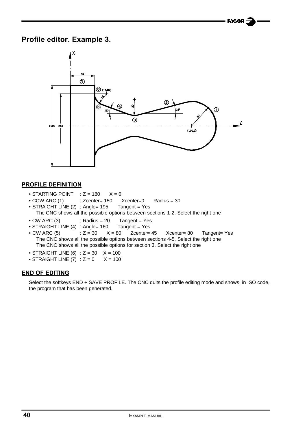### **Profile editor. Example 3.**



#### **PROFILE DEFINITION**

- STARTING POINT  $: Z = 180$   $X = 0$
- CCW ARC (1) : Zcenter= 150 Xcenter=0 Radius = 30
- STRAIGHT LINE (2) : Angle= 195 Tangent = Yes The CNC shows all the possible options between sections 1-2. Select the right one
- $\bullet$  CW ARC (3) : Radius = 20 Tangent = Yes
- STRAIGHT LINE (4) : Angle= 160 Tangent = Yes
- CW ARC  $(5)$  :  $Z = 30$   $X = 80$  Zcenter= 45 Xcenter= 80 Tangent= Yes The CNC shows all the possible options between sections 4-5. Select the right one The CNC shows all the possible options for section 3. Select the right one
- STRAIGHT LINE (6) :  $Z = 30$   $X = 100$
- STRAIGHT LINE  $(7)$  :  $Z = 0$   $X = 100$

#### **END OF EDITING**

Select the softkeys END + SAVE PROFILE. The CNC quits the profile editing mode and shows, in ISO code, the program that has been generated.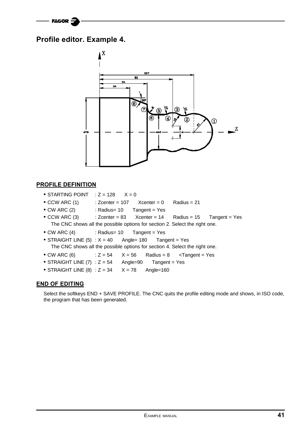### **Profile editor. Example 4.**



#### **PROFILE DEFINITION**

- STARTING POINT  $: Z = 128$   $X = 0$
- $\bullet$  CCW ARC (1) : Zcenter = 107 Xcenter = 0 Radius = 21
- CW ARC (2) : Radius= 10 Tangent = Yes
- CCW ARC  $(3)$  : Zcenter = 83 Xcenter = 14 Radius = 15 Tangent = Yes The CNC shows all the possible options for section 2. Select the right one.
- CW ARC (4) : Radius= 10 Tangent = Yes
- STRAIGHT LINE  $(5)$  :  $X = 40$  Angle= 180 Tangent = Yes The CNC shows all the possible options for section 4. Select the right one.
- CW ARC  $(6)$  :  $Z = 54$   $X = 56$  Radius = 8 < Tangent = Yes
- STRAIGHT LINE  $(7)$  :  $Z = 54$  Angle=90 Tangent = Yes
- STRAIGHT LINE (8) :  $Z = 34$   $X = 78$  Angle=160

#### **END OF EDITING**

Select the softkeys END + SAVE PROFILE. The CNC quits the profile editing mode and shows, in ISO code, the program that has been generated.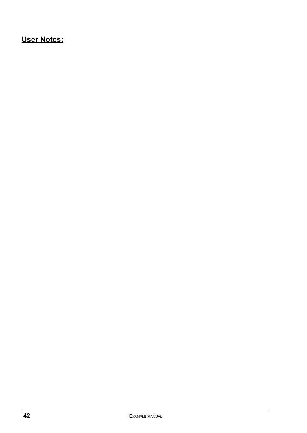### **User Notes:**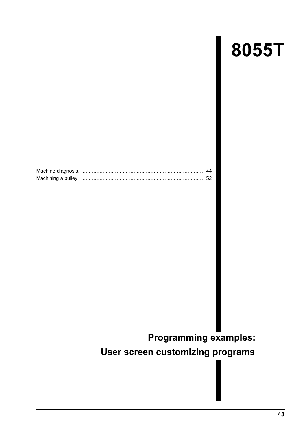# **8055T**

<span id="page-45-0"></span>

### **Programming examples:**

### **User screen customizing programs**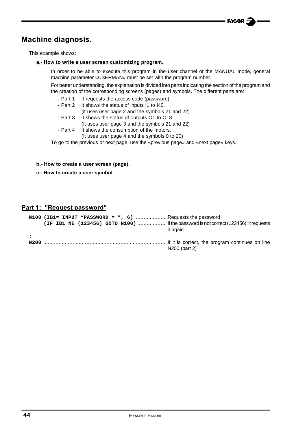### **Machine diagnosis.**

This example shows:

#### **a.- How to write a user screen customizing program.**

In order to be able to execute this program in the user channel of the MANUAL mode, general machine parameter «USERMAN» must be set with the program number.

For better understanding, the explanation is divided into parts indicating the section of the program and the creation of the corresponding screens (pages) and symbols. The different parts are:

- Part 1 : It requests the access code (password).
- Part 2 : It shows the status of inputs I1 to I40.
	- (it uses user page 2 and the symbols 21 and 22)
- Part 3 : It shows the status of outputs O1 to O18.
	- (It uses user page 3 and the symbols 21 and 22)
- Part 4 : It shows the consumption of the motors. (It uses user page 4 and the symbols 0 to 20)

To go to the previous or next page, use the «previous page» and «next page» keys.

#### **b.- How to create a user screen (page).**

**c.- How to create a user symbol.**

#### **Part 1: "Request password"**

|      | $N100$ (IB1= INPUT "PASSWORD = ", 6) Requests the password                           |               |
|------|--------------------------------------------------------------------------------------|---------------|
|      | (IF IB1 NE (123456) GOTO N100)  If the password is not correct (123456), it requests |               |
|      |                                                                                      | it again.     |
|      |                                                                                      |               |
| N200 |                                                                                      |               |
|      |                                                                                      | N200 (part 2) |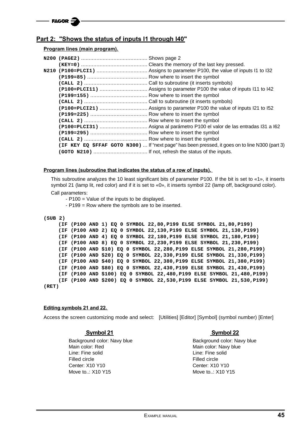#### **Part 2: "Shows the status of inputs I1 through I40"**

#### **Program lines (main program).**

|  | (IF KEY EQ \$FFAF GOTO N300)  If "next page" has been pressed, it goes on to line N300 (part 3) |
|--|-------------------------------------------------------------------------------------------------|
|  |                                                                                                 |
|  |                                                                                                 |

#### **Program lines (subroutine that indicates the status of a row of inputs).**

This subroutine analyzes the 10 least significant bits of parameter P100. If the bit is set to «1», it inserts symbol 21 (lamp lit, red color) and if it is set to «0», it inserts symbol 22 (lamp off, background color).

Call parameters:

- P100 = Value of the inputs to be displayed.
- P199 = Row where the symbols are to be inserted.

| (SUB <sub>2</sub> ) |                                                                         |  |  |  |  |  |  |  |  |
|---------------------|-------------------------------------------------------------------------|--|--|--|--|--|--|--|--|
|                     | (IF (P100 AND 1) EQ 0 SYMBOL 22,80, P199 ELSE SYMBOL 21,80, P199)       |  |  |  |  |  |  |  |  |
|                     | (IF (P100 AND 2) EQ 0 SYMBOL 22,130, P199 ELSE SYMBOL 21, 130, P199)    |  |  |  |  |  |  |  |  |
|                     | (IF (P100 AND 4) EQ 0 SYMBOL 22,180, P199 ELSE SYMBOL 21, 180, P199)    |  |  |  |  |  |  |  |  |
|                     | (IF (P100 AND 8) EQ 0 SYMBOL 22,230, P199 ELSE SYMBOL 21, 230, P199)    |  |  |  |  |  |  |  |  |
|                     | (IF (P100 AND \$10) EQ 0 SYMBOL 22,280, P199 ELSE SYMBOL 21,280, P199)  |  |  |  |  |  |  |  |  |
|                     | (IF (P100 AND \$20) EQ 0 SYMBOL 22,330, P199 ELSE SYMBOL 21,330, P199)  |  |  |  |  |  |  |  |  |
|                     | (IF (P100 AND \$40) EQ 0 SYMBOL 22,380, P199 ELSE SYMBOL 21,380, P199)  |  |  |  |  |  |  |  |  |
|                     | (IF (P100 AND \$80) EQ 0 SYMBOL 22,430,P199 ELSE SYMBOL 21,430,P199)    |  |  |  |  |  |  |  |  |
|                     | (IF (P100 AND \$100) EQ 0 SYMBOL 22,480, P199 ELSE SYMBOL 21,480, P199) |  |  |  |  |  |  |  |  |
|                     | (IF (P100 AND \$200) EQ 0 SYMBOL 22,530, P199 ELSE SYMBOL 21,530, P199) |  |  |  |  |  |  |  |  |
| (RET)               |                                                                         |  |  |  |  |  |  |  |  |

#### **Editing symbols 21 and 22.**

Access the screen customizing mode and select: [Utilities] [Editor] [Symbol] (symbol number) [Enter]

#### **Symbol 21** Symbol 22

Background color: Navy blue Background color: Navy blue Main color: Red Main color: Navy blue Line: Fine solid Line: Fine solid Filled circle **Filled** circle Center: X10 Y10 Center: X10 Y10 Move to..: X10 Y15 Move to..: X10 Y15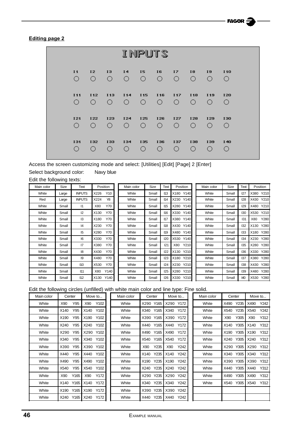#### **Editing page 2**

|                |                 |                 |                     |                            | <b>INPUTS</b> |            |                  |                  |                 |
|----------------|-----------------|-----------------|---------------------|----------------------------|---------------|------------|------------------|------------------|-----------------|
| I <sub>1</sub> | 12              | 13              | I4                  | 15                         | 16            | 17         | 18               | 19               | <b>I10</b>      |
| Ο              | $\bigcirc$      | $\bigcirc$      | $\circ$             | $\overline{O}$             | $\circ$       | $\circ$    | $\bigcirc$       | O                | $\bigcirc$      |
| <b>I11</b>     | <b>I12</b>      | <b>I13</b>      | <b>I14</b>          | <b>I15</b>                 | <b>I16</b>    | <b>I17</b> | <b>I18</b>       | <b>I19</b>       | <b>I20</b>      |
| ∩              | $\left(\right)$ | $\left(\right)$ | $\bigcirc$ .        | $\bigcirc$                 | 0             | 0          | $\left( \right)$ | $\left( \right)$ | $\left(\right)$ |
| <b>I21</b>     | <b>I22</b>      | <b>I23</b>      | I24                 | <b>I25</b>                 | <b>I26</b>    | <b>I27</b> | <b>I28</b>       | <b>I29</b>       | 130             |
| ∩              | ∩               | $\bigcirc$      | $\bigcirc$ .        | $\bigcirc$                 | $\bigcirc$    | O          | ∩                | ∩                | ∩               |
| 131            | 132<br>∩        | 133<br>∩        | 134<br>$\bigcirc$ . | <b>I35</b><br>$\bigcirc$ . | 136<br>∩      | 137<br>O   | 138<br>∩         | 139              |                 |

Access the screen customizing mode and select: [Utilities] [Edit] [Page] 2 [Enter]

Select background color: Navy blue

Edit the following texts:

| Main color | Size  | Text            | Position                | Main color | Size  | Text       | Position     | Main color | Size  | Text | Position     |
|------------|-------|-----------------|-------------------------|------------|-------|------------|--------------|------------|-------|------|--------------|
| White      | Large | <b>INPUTS</b>   | Y <sub>10</sub><br>X226 | White      | Small | 113        | Y140<br>X180 | White      | Small | 127  | Y210<br>X380 |
| Red        | Large | <b>INPUTS</b>   | Y8<br>X224              | White      | Small | 114        | X230<br>Y140 | White      | Small | 128  | Y210<br>X430 |
| White      | Small | $\mathsf{I}$    | Y70<br>X80              | White      | Small | 115        | Y140<br>X280 | White      | Small | 129  | Y210<br>X480 |
| White      | Small | 12              | Y70<br>X130             | White      | Small | 116        | Y140<br>X330 | White      | Small | 130  | Y210<br>X530 |
| White      | Small | 13              | Y70<br>X180             | White      | Small | 117        | Y140<br>X380 | White      | Small | 131  | Y280<br>X80  |
| White      | Small | 14              | Y70<br>X230             | White      | Small | 118        | X430<br>Y140 | White      | Small | 132  | Y280<br>X130 |
| White      | Small | 15              | Y70<br>X280             | White      | Small | <b>I19</b> | X480<br>Y140 | White      | Small | 133  | Y280<br>X180 |
| White      | Small | 6               | Y70<br>X330             | White      | Small | 120        | X530<br>Y140 | White      | Small | 134  | Y280<br>X230 |
| White      | Small | $\overline{17}$ | <b>Y70</b><br>X380      | White      | Small | 121        | Y210<br>X80  | White      | Small | 135  | Y280<br>X280 |
| White      | Small | 18              | Y70<br>X430             | White      | Small | 122        | X130<br>Y210 | White      | Small | 136  | Y280<br>X330 |
| White      | Small | 19              | Y70<br>X480             | White      | Small | 123        | Y210<br>X180 | White      | Small | 137  | Y280<br>X380 |
| White      | Small | 110             | Y70<br>X530             | White      | Small | 124        | Y210<br>X230 | White      | Small | 138  | Y280<br>X430 |
| White      | Small | 111             | Y140<br>X80             | White      | Small | 125        | Y210<br>X280 | White      | Small | 139  | Y280<br>X480 |
| White      | Small | 112             | X130 Y140               | White      | Small | 126        | Y210<br>X330 | White      | Small | 140  | X530 Y280    |

| in coior | Size  | техт           |      | Position        | Main color | <b>SIZE</b> | ιеχτ       | Position     | Main color | <b>SIZE</b> | техт       | POSItion     |
|----------|-------|----------------|------|-----------------|------------|-------------|------------|--------------|------------|-------------|------------|--------------|
| Vhite    | Large | <b>INPUTS</b>  | X226 | Y <sub>10</sub> | White      | Small       | 113        | X180<br>Y140 | White      | Small       | 127        | Y210<br>X380 |
| Red      | Large | <b>INPUTS</b>  | X224 | Y8              | White      | Small       | 114        | X230<br>Y140 | White      | Small       | 128        | Y210<br>X430 |
| Vhite    | Small | $\mathsf{I}$   | X80  | Y70             | White      | Small       | <b>I15</b> | Y140<br>X280 | White      | Small       | <b>129</b> | Y210<br>X480 |
| Vhite    | Small | 12             | X130 | Y70             | White      | Small       | <b>I16</b> | Y140<br>X330 | White      | Small       | 130        | Y210<br>X530 |
| Vhite    | Small | I3             | X180 | Y70             | White      | Small       | 117        | X380<br>Y140 | White      | Small       | 131        | Y280<br>X80  |
| Vhite    | Small | 14             | X230 | Y70             | White      | Small       | <b>I18</b> | X430<br>Y140 | White      | Small       | 132        | Y280<br>X130 |
| Vhite    | Small | 15             | X280 | Y70             | White      | Small       | <b>I19</b> | X480<br>Y140 | White      | Small       | 133        | Y280<br>X180 |
| Vhite    | Small | $\overline{6}$ | X330 | Y70             | White      | Small       | 120        | Y140<br>X530 | White      | Small       | 134        | Y280<br>X230 |
| Vhite    | Small | 17             | X380 | Y70             | White      | Small       | 121        | Y210<br>X80  | White      | Small       | 135        | Y280<br>X280 |
| Vhite    | Small | 18             | X430 | Y70             | White      | Small       | 122        | Y210<br>X130 | White      | Small       | 136        | Y280<br>X330 |
| Vhite    | Small | 19             | X480 | Y70             | White      | Small       | 123        | Y210<br>X180 | White      | Small       | 137        | Y280<br>X380 |
| Vhite    | Small | 110            | X530 | Y70             | White      | Small       | 124        | Y210<br>X230 | White      | Small       | 138        | Y280<br>X430 |
| Vhite    | Small | 111            | X80  | Y140            | White      | Small       | 125        | Y210<br>X280 | White      | Small       | 139        | Y280<br>X480 |
| Vhite    | Small | 112            | X130 | Y140            | White      | Small       | 126        | Y210<br>X330 | White      | Small       | 140        | Y280<br>X530 |

| Main color | Size  | Text       | Position     |
|------------|-------|------------|--------------|
| White      | Small | 127        | X380<br>Y210 |
| White      | Small | 128        | Y210<br>X430 |
| White      | Small | <b>129</b> | Y210<br>X480 |
| White      | Small | 130        | Y210<br>X530 |
| White      | Small | 131        | X80<br>Y280  |
| White      | Small | 132        | X130<br>Y280 |
| White      | Small | 133        | Y280<br>X180 |
| White      | Small | 134        | X230<br>Y280 |
| White      | Small | 135        | X280<br>Y280 |
| White      | Small | 136        | X330<br>Y280 |
| White      | Small | 137        | Y280<br>X380 |
| White      | Small | 138        | X430<br>Y280 |
| White      | Small | 139        | X480<br>Y280 |
| White      | Small | 140        | X530<br>Y280 |

Edit the following circles (unfilled) with white main color and line type: Fine solid.

|            | $\cdots$     | $\sim$         |            |              |              |            |              |              |
|------------|--------------|----------------|------------|--------------|--------------|------------|--------------|--------------|
| Main color | Center       | Move to        | Main color | Center       | Move to      | Main color | Center       | Move to      |
| White      | Y95<br>X90   | Y102<br>X90    | White      | X290 Y165    | X290<br>Y172 | White      | Y235<br>X490 | Y242<br>X490 |
| White      | X140<br>Y95  | Y102<br>X140   | White      | Y165<br>X340 | Y172<br>X340 | White      | Y235<br>X540 | Y242<br>X540 |
| White      | X190<br>Y95  | Y102<br>X190   | White      | X390<br>Y165 | X390<br>Y172 | White      | X90<br>Y305  | Y312<br>X90  |
| White      | X240<br>Y95  | Y102<br>X240   | White      | Y165<br>X440 | Y172<br>X440 | White      | Y305<br>X140 | Y312<br>X140 |
| White      | X290<br>Y95  | Y102<br>X290   | White      | Y165<br>X490 | Y172<br>X490 | White      | Y305<br>X190 | X190<br>Y312 |
| White      | Y95<br>X340  | Y102<br>X340   | White      | Y165<br>X540 | Y172<br>X540 | White      | Y305<br>X240 | Y312<br>X240 |
| White      | X390<br>Y95  | Y102<br>X390   | White      | Y235<br>X90  | Y242<br>X90  | White      | Y305<br>X290 | Y312<br>X290 |
| White      | X440<br>Y95  | Y102<br>X440   | White      | Y235<br>X140 | Y242<br>X140 | White      | Y305<br>X340 | Y312<br>X340 |
| White      | Y95<br>X490  | Y102<br>X490   | White      | Y235<br>X190 | X190<br>Y242 | White      | Y305<br>X390 | Y312<br>X390 |
| White      | Y95<br>X540  | Y102<br>X540   | White      | Y235<br>X240 | Y242<br>X240 | White      | Y305<br>X440 | Y312<br>X440 |
| White      | X90<br>Y165  | Y172<br>X90    | White      | Y235<br>X290 | Y242<br>X290 | White      | X490<br>Y305 | Y312<br>X490 |
| White      | Y165<br>X140 | Y172<br>X140   | White      | Y235<br>X340 | Y242<br>X340 | White      | Y305<br>X540 | Y312<br>X540 |
| White      | X190<br>Y165 | Y172<br>  X190 | White      | X390<br>Y235 | X390<br>Y242 |            |              |              |
| White      | Y165<br>X240 | Y172<br>X240   | White      | Y235<br>X440 | Y242<br>X440 |            |              |              |
|            |              |                |            |              |              |            |              |              |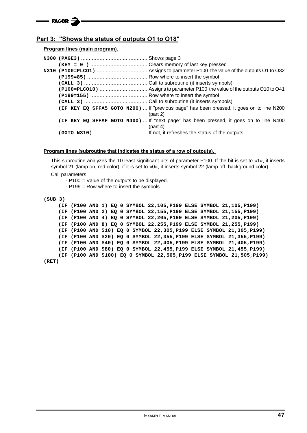#### **Part 3: "Shows the status of outputs O1 to O18"**

#### **Program lines (main program).**

|  | (IF KEY EQ \$FFA5 GOTO N200) If "previous page" has been pressed, it goes on to line N200<br>(part 2) |
|--|-------------------------------------------------------------------------------------------------------|
|  | (IF KEY EQ \$FFAF GOTO N400) If "next page" has been pressed, it goes on to line N400                 |
|  | (part 4)                                                                                              |
|  |                                                                                                       |

#### **Program lines (subroutine that indicates the status of a row of outputs).**

This subroutine analyzes the 10 least significant bits of parameter P100. If the bit is set to «1», it inserts symbol 21 (lamp on, red color), if it is set to «0», it inserts symbol 22 (lamp off. background color). Call parameters:

- P100 = Value of the outputs to be displayed.

- P199 = Row where to insert the symbols.

| (SUB 3) |  |                                                                         |
|---------|--|-------------------------------------------------------------------------|
|         |  | (IF (P100 AND 1) EQ 0 SYMBOL 22,105, P199 ELSE SYMBOL 21, 105, P199)    |
|         |  | (IF (P100 AND 2) EQ 0 SYMBOL 22,155, P199 ELSE SYMBOL 21, 155, P199)    |
|         |  | (IF (P100 AND 4) EQ 0 SYMBOL 22,205, P199 ELSE SYMBOL 21,205, P199)     |
|         |  | (IF (P100 AND 8) EQ 0 SYMBOL 22,255, P199 ELSE SYMBOL 21,255, P199)     |
|         |  | (IF (P100 AND \$10) EQ 0 SYMBOL 22,305, P199 ELSE SYMBOL 21,305, P199)  |
|         |  | (IF (P100 AND \$20) EQ 0 SYMBOL 22,355, P199 ELSE SYMBOL 21,355, P199)  |
|         |  | (IF (P100 AND \$40) EQ 0 SYMBOL 22,405,P199 ELSE SYMBOL 21,405,P199)    |
|         |  | (IF (P100 AND \$80) EO 0 SYMBOL 22,455,P199 ELSE SYMBOL 21,455,P199)    |
|         |  | (IF (P100 AND \$100) EQ 0 SYMBOL 22,505, P199 ELSE SYMBOL 21,505, P199) |
| (RET)   |  |                                                                         |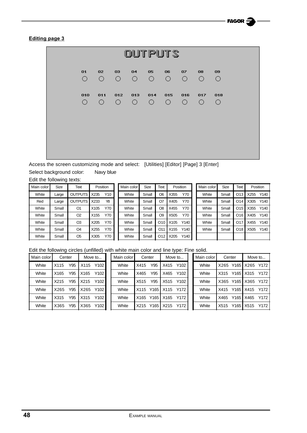#### **Editing page 3**



Access the screen customizing mode and select: [Utilities] [Editor] [Page] 3 [Enter] Select background color: Navy blue

Edit the following texts:

| Main color | Size  | Text           | Position |     | Main color | Size  | Text            |      | Position | Main color | Size  | Text            |      | Position |
|------------|-------|----------------|----------|-----|------------|-------|-----------------|------|----------|------------|-------|-----------------|------|----------|
| White      | Large | <b>OUTPUTS</b> | X235     | Y10 | White      | Small | O6              | X355 | Y70      | White      | Small | O13             | X255 | Y140     |
| Red        | Large | <b>OUTPUTS</b> | X233     | Y8  | White      | Small | O7              | X405 | Y70      | White      | Small | O <sub>14</sub> | X305 | Y140     |
| White      | Small | O <sub>1</sub> | X105     | Y70 | White      | Small | O8              | X455 | Y70      | White      | Small | O <sub>15</sub> | X355 | Y140     |
| White      | Small | O <sub>2</sub> | X155     | Y70 | White      | Small | O9              | X505 | Y70      | White      | Small | O16             | X405 | Y140     |
| White      | Small | O <sub>3</sub> | X205     | Y70 | White      | Small | O <sub>10</sub> | X105 | Y140     | White      | Small | O <sub>17</sub> | X455 | Y140     |
| White      | Small | O <sub>4</sub> | X255     | Y70 | White      | Small | O11             | X155 | Y140     | White      | Small | O18             | X505 | Y140     |
| White      | Small | O <sub>5</sub> | X305     | Y70 | White      | Small | O12             | X205 | Y140     |            |       |                 |      |          |

| Main color<br>Size | Text            | Position |      |
|--------------------|-----------------|----------|------|
| Small              | O <sub>6</sub>  | X355     | Y70  |
| Small              | O7              | X405     | Y70  |
| Small              | O8              | X455     | Y70  |
| Small              | O <sub>9</sub>  | X505     | Y70  |
| Small              | O <sub>10</sub> | X105     | Y140 |
| Small              | O <sub>11</sub> | X155     | Y140 |
| Small              | O12             | X205     | Y140 |
|                    |                 |          |      |

| Main color   | Size  | Text            |      | Position  |
|--------------|-------|-----------------|------|-----------|
| <b>White</b> | Small | O <sub>13</sub> |      | X255 Y140 |
| White        | Small | O14             |      | X305 Y140 |
| <b>White</b> | Small | O <sub>15</sub> | X355 | Y140      |
| <b>White</b> | Small | O <sub>16</sub> | X405 | Y140      |
| White        | Small | O <sub>17</sub> | X455 | Y140      |
| White        | Small | O <sub>18</sub> | X505 | Y140      |
|              |       |                 |      |           |

Edit the following circles (unfilled) with white main color and line type: Fine solid.

| Main color | Center |     |      | Move to | Main color<br>Center |      | Move to |      | Main color | Center |      | Move to |      |      |
|------------|--------|-----|------|---------|----------------------|------|---------|------|------------|--------|------|---------|------|------|
| White      | X115   | Y95 | X115 | Y102    | White                | X415 | Y95     | X415 | Y102       | White  | X265 | Y165    | X265 | Y172 |
| White      | X165   | Y95 | X165 | Y102    | White                | X465 | Y95     | X465 | Y102       | White  | X315 | Y165    | X315 | Y172 |
| White      | X215   | Y95 | X215 | Y102    | White                | X515 | Y95     | X515 | Y102       | White  | X365 | Y165    | X365 | Y172 |
| White      | X265   | Y95 | X265 | Y102    | White                | X115 | Y165    | X115 | Y172       | White  | X415 | Y165    | X415 | Y172 |
| White      | X315   | Y95 | X315 | Y102    | White                | X165 | Y165    | X165 | Y172       | White  | X465 | Y165    | X465 | Y172 |
| White      | X365   | Y95 | X365 | Y102    | White                | X215 | Y165    | X215 | Y172       | White  | X515 | Y165    | X515 | Y172 |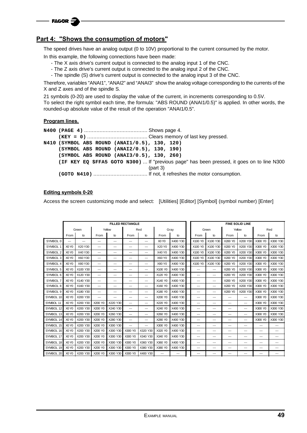

#### **Part 4: "Shows the consumption of motors"**

The speed drives have an analog output (0 to 10V) proportional to the current consumed by the motor.

In this example, the following connections have been made:

- The X axis drive's current output is connected to the analog input 1 of the CNC.
- The Z axis drive's current output is connected to the analog input 2 of the CNC.
- The spindle (S) drive's current output is connected to the analog input 3 of the CNC.

Therefore, variables "ANAI1", "ANAI2" and "ANAI3" show the analog voltage corresponding to the currents of the X and Z axes and of the spindle S.

21 symbols (0-20) are used to display the value of the current, in increments corresponding to 0.5V.

To select the right symbol each time, the formula: "ABS ROUND (ANAI1/0.5)" is applied. In other words, the rounded-up absolute value of the result of the operation "ANAI1/0.5".

#### **Program lines.**

**N400 (PAGE 4)** ......................................... Shows page 4. **(KEY = 0)** ....................................... Clears memory of last key pressed. **N410 (SYMBOL ABS ROUND (ANAI1/0.5), 130, 120) (SYMBOL ABS ROUND (ANAI2/0.5), 130, 190) (SYMBOL ABS ROUND (ANAI3/0.5), 130, 260) (IF KEY EQ \$FFA5 GOTO N300)** ... If "previous page" has been pressed, it goes on to line N300 (part 3) **(GOTO N410)** ................................... If not, it refreshes the motor consumption.

#### **Editing symbols 0-20**

Access the screen customizing mode and select: [Utilities] [Editor] [Symbol] (symbol number) [Enter]

|           |                               |          |                          |          | <b>FILLED RECTANGLE</b>  |          |                               |          |         |          |         | <b>FINE SOLID LINE</b> |         |                          |
|-----------|-------------------------------|----------|--------------------------|----------|--------------------------|----------|-------------------------------|----------|---------|----------|---------|------------------------|---------|--------------------------|
|           |                               | Green    |                          | Yellow   |                          | Red      |                               | Gray     |         | Green    |         | Yellow                 |         | Red                      |
|           | From                          | to       | From<br>to               |          | From                     | to       | From<br>to                    |          | From    | to       | From    | to                     | From    | to                       |
| SYMBOL 0  | ---                           | $---$    | $---$                    | ---      | $---$                    | ---      | X <sub>0</sub> Y <sub>0</sub> | X400 Y30 | X100 Y0 | X100 Y30 | X200 Y0 | X200 Y30               | X300 Y0 | X300 Y30                 |
| SYMBOL 1  | X <sub>0</sub> Y <sub>0</sub> | X20 Y30  | $---$                    | ---      | $---$                    | ---      | X20 Y0                        | X400 Y30 | X100 Y0 | X100 Y30 | X200 Y0 | X200 Y30               | X300 Y0 | X300 Y30                 |
| SYMBOL 2  | X <sub>0</sub> Y <sub>0</sub> | X40 Y30  | ---                      | ---      | $---$                    | ---      | X40 Y0                        | X400 Y30 | X100 Y0 | X100 Y30 | X200 Y0 | X200 Y30               | X300 Y0 | X300 Y30                 |
| SYMBOL 3  | X <sub>0</sub> Y <sub>0</sub> | X60 Y30  | $---$                    | ---      | $---$                    | ---      | <b>X60 Y0</b>                 | X400 Y30 | X100 Y0 | X100 Y30 | X200 Y0 | X200 Y30               | X300 Y0 | X300 Y30                 |
| SYMBOL 4  | X <sub>0</sub> Y <sub>0</sub> | X80 Y30  | $---$                    | ---      | $---$                    | ---      | X80 Y0                        | X400 Y30 | X100 Y0 | X100 Y30 | X200 Y0 | X200 Y30               | X300 Y0 | X300 Y30                 |
| SYMBOL 5  | X <sub>0</sub> Y <sub>0</sub> | X100 Y30 | $\overline{\phantom{a}}$ | ---      | $---$                    | ---      | X100 Y0                       | X400 Y30 | ---     | ---      | X200 Y0 | X200 Y30               | X300 Y0 | X300 Y30                 |
| SYMBOL 6  | X <sub>0</sub> Y <sub>0</sub> | X120 Y30 | ---                      | ---      | $---$                    | ---      | X120 Y0                       | X400 Y30 | ---     | ---      | X200 Y0 | X200 Y30               | X300 Y0 | X300 Y30                 |
| SYMBOL 7  | X <sub>0</sub> Y <sub>0</sub> | X140 Y30 | $---$                    | ---      | $---$                    | ---      | X140 Y0                       | X400 Y30 | ---     | ---      | X200 Y0 | X200 Y30               | X300 Y0 | X300 Y30                 |
| SYMBOL 8  | X <sub>0</sub> Y <sub>0</sub> | X160 Y30 | $---$                    | ---      | $---$                    | ---      | X160 Y0                       | X400 Y30 | $---$   | $---$    | X200 Y0 | X200 Y30               | X300 Y0 | X300 Y30                 |
| SYMBOL 9  | X <sub>0</sub> Y <sub>0</sub> | X180 Y30 | $---$                    | ---      | $---$                    | ---      | X180 Y0                       | X400 Y30 | ---     | ---      | X200 YO | X200 Y30               | X300 Y0 | X300 Y30                 |
| SYMBOL 10 | X <sub>0</sub> Y <sub>0</sub> | X200 Y30 | $\overline{\phantom{a}}$ | ---      | ---                      | ---      | X200 Y0                       | X400 Y30 | ---     | ---      | ---     | ---                    | X300 Y0 | X300 Y30                 |
| SYMBOL 11 | X <sub>0</sub> Y <sub>0</sub> | X200 Y30 | X200 Y0                  | X220 Y30 | $---$                    | ---      | X220 Y0                       | X400 Y30 | $---$   | ---      | $---$   | $---$                  | X300 Y0 | X300 Y30                 |
| SYMBOL 12 | X <sub>0</sub> Y <sub>0</sub> | X200 Y30 | X200 Y0                  | X240 Y30 | $\overline{\phantom{a}}$ | ---      | X240 Y0                       | X400 Y30 | ---     | ---      | ---     | ---                    | X300 Y0 | X300 Y30                 |
| SYMBOL 13 | X <sub>0</sub> Y <sub>0</sub> | X200 Y30 | X200 Y0                  | X260 Y30 | $---$                    | ---      | X260 Y0                       | X400 Y30 | ---     | $---$    | ---     | ---                    | X300 Y0 | X300 Y30                 |
| SYMBOL 14 | X <sub>0</sub> Y <sub>0</sub> | X200 Y30 | X200 Y0                  | X280 Y30 | $---$                    | ---      | X280 Y0                       | X400 Y30 | ---     | ---      | ---     | ---                    | X300 Y0 | X300 Y30                 |
| SYMBOL 15 | X <sub>0</sub> Y <sub>0</sub> | X200 Y30 | X200 Y0                  | X300 Y30 | ---                      | ---      | X300 Y0                       | X400 Y30 | $---$   | $---$    | $---$   | $---$                  | ---     | $---$                    |
| SYMBOL 16 | X <sub>0</sub> Y <sub>0</sub> | X200 Y30 | X200 Y0                  | X300 Y30 | X300 YO                  | X320 Y30 | X320 Y0                       | X400 Y30 | ---     | ---      | ---     | ---                    | ---     | $---$                    |
| SYMBOL 17 | X <sub>0</sub> Y <sub>0</sub> | X200 Y30 | X200 Y0                  | X300 Y30 | X300 Y0                  | X340 Y30 | X340 Y0                       | X400 Y30 | ---     | ---      | ---     | ---                    | ---     | ---                      |
| SYMBOL 18 | X <sub>0</sub> Y <sub>0</sub> | X200 Y30 | X200 Y0                  | X300 Y30 | X300 Y0                  | X360 Y30 | X360 Y0                       | X400 Y30 | ---     | ---      | ---     | ---                    | ---     | $\overline{\phantom{a}}$ |
| SYMBOL 19 | X <sub>0</sub> Y <sub>0</sub> | X200 Y30 | X200 Y0                  | X300 Y30 | X300 Y0                  | X380 Y30 | X380 Y0                       | X400 Y30 | $---$   | ---      | $---$   | $---$                  | ---     | $---$                    |
| SYMBOL 20 | XO YO                         | X200 Y30 | X200 Y0                  | X300 Y30 | X300 Y0                  | X400 Y30 | $---$                         | ---      | ---     | ---      | ---     | ---                    | ---     | ---                      |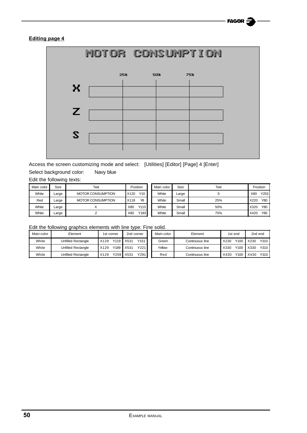#### **Editing page 4**



Access the screen customizing mode and select: [Utilities] [Editor] [Page] 4 [Enter] Select background color: Navy blue

Edit the following texts:

| Main color | Size  | Text                     | Position    | Main color | Size  | Text |      | Position |
|------------|-------|--------------------------|-------------|------------|-------|------|------|----------|
| White      | Large | <b>MOTOR CONSUMPTION</b> | Y10<br>X120 | White      | Large |      | X80  | Y253     |
| Red        | Large | <b>MOTOR CONSUMPTION</b> | Y8<br>X118  | White      | Small | 25%  | X220 | Y80      |
| White      | Large |                          | Y113<br>X80 | White      | Small | 50%  | X320 | Y80      |
| White      | Large |                          | Y183<br>X80 | White      | Small | 75%  | X420 | Y80      |

Edit the following graphics elements with line type: Fine solid.

| Main color | Element                   | 1st corner     | 2nd corner   | Main color | Element         | 1st end      | 2nd end      |
|------------|---------------------------|----------------|--------------|------------|-----------------|--------------|--------------|
| White      | Unfilled Rectangle        | X129           | Y151<br>X531 | Green      | Continuous line | Y100<br>X230 | Y310<br>X230 |
| White      | <b>Unfilled Rectangle</b> | Y189<br>X129   | Y221<br>X531 | Yellow     | Continuous line | Y100<br>X330 | Y310<br>X330 |
| White      | Unfilled Rectangle        | Y259 L<br>X129 | Y291<br>X531 | Red        | Continuous line | Y100<br>X430 | Y310<br>X430 |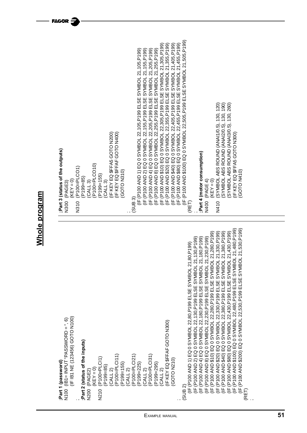Whole program **Whole program** **FAGOR** 

IF (P100 AND \$100) EQ 0 SYMBOL 22.505.P199 ELSE SYMBOL 21.505.P199) (IF (P100 AND \$100) EQ 0 SYMBOL 22,505,P199 ELSE SYMBOL 21,505,P199) IF (P100 AND \$10) EQ 0 SYMBOL 22,305,P199 ELSE SYMBOL 21,305,P199) (IF (P100 AND \$10) EQ 0 SYMBOL 22,305,P199 ELSE SYMBOL 21,305,P199) IF (P100 AND \$20) EQ 0 SYMBOL 22,355,P199 ELSE SYMBOL 21,355,P199) (IF (P100 AND \$20) EQ 0 SYMBOL 22,355,P199 ELSE SYMBOL 21,355,P199) IF (P100 AND \$40) EQ 0 SYMBOL 22.405.P199 ELSE SYMBOL 21.405.P199) (IF (P100 AND \$40) ELSE SYMBOL 22,405,P100 BU/SOL 21, AND 346 BNV 2007 PL) IF (P100 AND \$80) EQ 0 SYMBOL 22.455.P199 ELSE SYMBOL 21.455.P199) (IF (P100 AND \$80) EQ 0 SYMBOL 22,455,P199 ELSE SYMBOL 21,455,P199) (IF (P100 AND 2) EQ 0 SYMBOL 22,155,P199 ELSE SYMBOL 21,155,P199)<br>(IF (P100 AND 4) EQ 0 SYMBOL 22,205,P199 ELSE SYMBOL 21,205,P199) (IF (P100 AND 1) EQ 0 SYMBOL 22,105,P199 ELSE SYMBOL 21,105,P199) (IF (P100 AND 2) EQ 0 SYMBOL 22,155,P199 ELSE SYMBOL 21,155,P199) (IF (P100 AND 4) EQ 0 SYMBOL 22,205,P199 ELSE SYMBOL 21,205,P199) IF (P100 AND 8) EQ 0 SYMBOL 22,255,P199 ELSE SYMBOL 21,255,P199) (IF (P100 AND 8) EQ 0 SYMBOL 22,255,P199 ELSE SYMBOL 21,255,P199) (KEY = 0)<br>(SYMBOL ABS ROUND (ANAI1/0.5), 130, 120) N410 (SYMBOL ABS ROUND (ANAI1/0.5), 130, 120) SYMBOL ABS ROUND (ANAI2/0.5), 130, 190) (SYMBOL ABS ROUND (ANAI2/0.5), 130, 190) SYMBOL ABS ROUND (ANA13/0.5), 130, 260) (SYMBOL ABS ROUND (ANAI3/0.5), 130, 260) (CALL 3)<br>(IF KEY EQ \$FFA5 GOTO N200)<br>(IF KEY EQ \$FFAF GOTO N400) (IF KEY EQ \$FFA5 GOTO N200) (IF KEY EQ \$FFAF GOTO N400) (IF KEY EQ \$FFA5 GOTO N300) IF KEY EQ \$FFA5 GOTO N300) ;Part 3 (status of the outputs) **;Part 3 (status of the outputs)** ;Part 4 (motor consumption) **;Part 4 (motor consumption)** CALL 3)<br>P100=PLCO10) (P100=PLCO10)  $(KEY = 0)$ <br>(P100=PLCO1) N310 (P100=PLCO1) GOTO N310) GOTO N410) (GOTO N310) (GOTO N410) (P199=155) P199=85) (PAGE 4) N400 (PAGE 4) N300 (PAGE3) N300 (PAGE3) ; (SUB 3) N400 N310 N410 (RET) ;(IF (P100 AND \$80) EQ 0 SYMBOL 22,430,P199 ELSE SYMBOL 21,430,P199)<br>(IF (P100 AND \$100) EQ 0 SYMBOL 22,480,P199 ELSE SYMBOL 21,480,P199) (IF (P100 AND \$100 SYMBOL 22,480,P100 BN 200 BN 200 ELSE SYMBOL 21, P2199 ELSE SYMBOL 21, P2199 ELSE SYMBOL 21 (IF (P100 AND \$200) EQ 0 SYMBOL 22,530,P199 ELSE SYMBOL 21,530,P199) (IF (P100 AND \$200) EQ 0 SYMBOL 22,530,P199 ELSE SYMBOL 21,530,P199) IF (P100 AND \$40) EQ 0 SYMBOL 22,380,P199 ELSE SYMBOL 21,380,P199) IF (P100 AND \$10) EQ 0 SYMBOL 22,280,P199 ELSE SYMBOL 21,280,P199) (IF (P100 AND \$10) EQ 0 SHOL 200, 200 AND 200 AND 21, 2010 AND 2010 ELSE SYMBOL 21, 2010 ELSE SHOL 21, 2010 EL IF (P100 AND \$20) EQ 0 SYMBOL 22,330,P199 ELSE SYMBOL 21,330,P199) (IF (P100 AND \$20) EQ 0 SYMBOL 2002 AND 2010 ELSE SYMBOL 2010 ELSE SYMBOL 21, 2010 (IF (P100 AND \$40) EQ 300 AND \$400 BL 2000 ELSE SHORE AND 2010 ELSE SYSTEM 2014 2014 (IF (P200 AND \$90) EQ 0 SHOL 200 AND \$900 BLA 200 AND 200 AND 200 FALL 200 FALL 21, IF (P100 AND 2) EQ 0 SYMBOL 22, 130, P199 ELSE SYMBOL 21, 130, P199) (IF (P100 AND 2) EQ 0 SYMBOL 22,130,P199 ELSE SYMBOL 21,130,P199) IF (P100 AND 4) EQ 0 SYMBOL 22,180,P199 ELSE SYMBOL 21,180,P199) (IF (P100 AND 4) EQ 0 SYMBOL 22,190 AND 400 BL 4 DAY 200 F 21, L IF (P100 AND 8) EQ 0 SYMBOL 22,230, P199 ELSE SYMBOL 21,230, P199) (IF (P100 AND 8) EQ 0 SYMBOL 22,230,P199 ELSE SYMBOL 21,230,P199) (IF (IF 100 AND 400 AND 1) EQ 0 SYMBOL 200 AND 200 BL 200 AND 100 BL 200 FL 21, P |<br>| SUB 2)<br>| CIE (P100 AND 1) EQ 0 SYMBOL 22.80.P199 ELSE SYMBOL 21.80.P199) IF IB1 NE (123456) GOTO N100) (OOLN OLOU) (997621) 山N LEI 山I)  $(100$  ( $B1 = INPUT'PASSWORD = 90$ N100 (IB1= INPUT "PASSWORD = ", 6) (CALL 2)<br>IF KEY EQ \$FFAF GOTO N300) (IF KEY EQ \$FFAF GOTO N300) Part 2 (status of the inputs) **;Part 2 (status of the inputs)** (CALL 2)<br>P100=PLCI11) (P100=PLCI11) CALL 2)<br>P100=PLCl21) (P100=PLCI21) (CALL 2)<br>P100=PLCl31) (P100=PLCI31)  $(KEY = 0)$ <br>N210  $(P100 = PLCI1)$ N210 (P100=PLCI1) (GOTO N210) GOTO<sub>N210</sub> Part 1 (password) **;Part 1 (password)** (P199=155) P<sub>199=225</sub>) P<sub>199=295</sub>) (P199=85) **N200 (PAGE2)** N200 (PAGE2) (RET) . . ;;Example manual **51**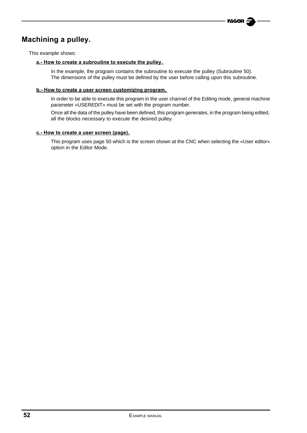### **Machining a pulley.**

This example shows:

#### **a.- How to create a subroutine to execute the pulley.**

In the example, the program contains the subroutine to execute the pulley (Subroutine 50). The dimensions of the pulley must be defined by the user before calling upon this subroutine.

#### **b.- How to create a user screen customizing program.**

In order to be able to execute this program in the user channel of the Editing mode, general machine parameter «USEREDIT» must be set with the program number.

Once all the data of the pulley have been defined, this program generates, in the program being edited, all the blocks necessary to execute the desired pulley.

#### **c.- How to create a user screen (page).**

This program uses page 50 which is the screen shown at the CNC when selecting the «User editor» option in the Editor Mode.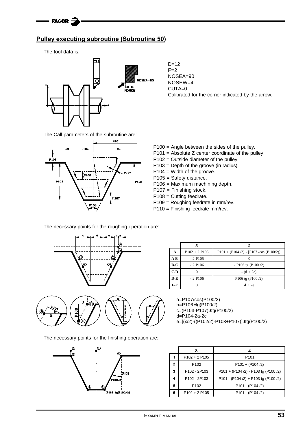

#### **Pulley executing subroutine (Subroutine 50)**

The tool data is:



 $D=12$  $F=2$ NOSEA=90 NOSEW=4 CUTA=0 Calibrated for the corner indicated by the arrow.

The Call parameters of the subroutine are:



P100 = Angle between the sides of the pulley.

- P101 = Absolute Z center coordinate of the pulley.
- P102 = Outside diameter of the pulley.
- P103 = Depth of the groove (in radius).
- P104 = Width of the groove.
- P105 = Safety distance.
- P106 = Maximum machining depth.
- P107 = Finishing stock.
- P108 = Cutting feedrate.
- P109 = Roughing feedrate in mm/rev.
- P110 = Finishing feedrate mm/rev.

The necessary points for the roughing operation are:



The necessary points for the finishing operation are:



|       |                       | z                                             |
|-------|-----------------------|-----------------------------------------------|
| A     | $P102 + 2 P105$       | $P101 + (P104 / 2) - [P107 / cos (P100 / 2)]$ |
| $A-B$ | $-2$ P <sub>105</sub> |                                               |
| B-C   | $-2$ P <sub>106</sub> | $-$ P106 tg (P100 $/2$ )                      |
| $C-D$ |                       | $- (d + 2e)$                                  |
| $D-E$ | $-2$ P <sub>106</sub> | P106 tg (P100 $/2$ )                          |
| E-F   |                       | $d + 2e$                                      |

a=P107/cos(P100/2) b=P106∗tg(P100/2) c=(P103-P107)∗tg(P100/2) d=P104-2a-2c e=[(x/2)-((P102/2)-P103+P107)]∗tg(P100/2)

|   | x                                    |                                      |
|---|--------------------------------------|--------------------------------------|
|   | $P102 + 2 P105$                      | P <sub>101</sub>                     |
| 2 | P <sub>102</sub>                     | $P101 + (P104 / 2)$                  |
| 3 | P <sub>102</sub> - 2P <sub>103</sub> | P101 + (P104 /2) - P103 tg (P100 /2) |
| 4 | P <sub>102</sub> - 2P <sub>103</sub> | P101 - (P104 /2) + P103 tg (P100 /2) |
| 5 | P <sub>102</sub>                     | P101 - (P104 /2)                     |
| 6 | $P102 + 2 P105$                      | P101 - (P104 /2)                     |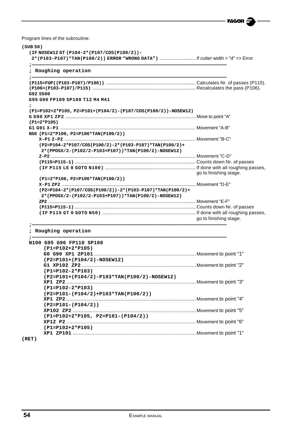$=$  FAGOR  $\tilde{\mathcal{Z}}$ 

L,

Program lines of the subroutine:

| ; Roughing operation                                          |                        |
|---------------------------------------------------------------|------------------------|
|                                                               |                        |
| G92 S500                                                      |                        |
| G95 G96 FP109 SP108 T12 M4 M41                                |                        |
| (P1=P102+2*P105, P2=P101+(P104/2)-(P107/COS(P100/2))-NOSEW12) |                        |
|                                                               |                        |
| $(PI=2*PI05)$                                                 |                        |
|                                                               |                        |
| N50 (P1=2*P106, P2=P106*TAN(P100/2))                          |                        |
|                                                               |                        |
| (P2=P104-2*P107/COS(P100/2)-2*(P103-P107)*TAN(P100/2)+        |                        |
| 2*(PPOSX/2-(P102/2-P103+P107))*TAN(P100/2)-NOSEW12)           |                        |
|                                                               |                        |
|                                                               |                        |
|                                                               |                        |
|                                                               | go to finishing stage. |
| (P1=2*P106, P2=P106*TAN(P100/2))                              |                        |
|                                                               |                        |
| (P2=P104-2*(P107/COS(P100/2))-2*(P103-P107)*TAN(P100/2)+      |                        |
| 2*(PPOSX/2-(P102/2-P103+P107))*TAN(P100/2)-NOSEW12)           |                        |
|                                                               |                        |
|                                                               |                        |
|                                                               |                        |
|                                                               | go to finishing stage. |
|                                                               |                        |
| ; Roughing operation                                          |                        |
| N100 G95 G96 FP110 SP108                                      |                        |
| $(PI = P102 + 2*P105)$                                        |                        |
|                                                               |                        |
| (P2=P101+(P104/2)-NOSEW12)                                    |                        |
|                                                               |                        |
| $(PI = P102 - 2*P103)$                                        |                        |
|                                                               |                        |
| (P2=P101+(P104/2)-P103*TAN(P100/2)-NOSEW12)                   |                        |
|                                                               |                        |
| $(PI = P102 - 2*P103)$                                        |                        |
| $(P2 = P101 - (P104/2) + P103*TAN(P100/2))$                   |                        |
|                                                               |                        |
| $(P2 = P101 - (P104/2))$                                      |                        |
|                                                               |                        |
| $(PI = P102 + 2*P105, P2 = P101 - (P104/2))$                  |                        |
|                                                               |                        |
| $(P1 = P102 + 2*P105)$                                        |                        |

**(RET)**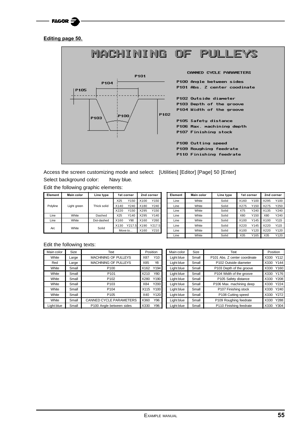| FACOR |  |
|-------|--|
|-------|--|

**Editing page 50.**



Access the screen customizing mode and select: [Utilities] [Editor] [Page] 50 [Enter] Select background color: Navy blue.

#### Edit the following graphic elements:

| Element  | <b>Main color</b> | Line type   | 1st corner     |         |      | 2nd corner |
|----------|-------------------|-------------|----------------|---------|------|------------|
|          |                   |             | X25            | Y150    | X100 | Y150       |
| Polyline | Light green       | Thick solid | X140           | Y240    | X180 | Y240       |
|          |                   |             | X220           | Y150    | X295 | Y150       |
| Line     | White             | Dashed      | X25            | Y140    | X295 | Y140       |
| Line     | White             | Dot-dashed  | X160           | Y90     | X160 | Y260       |
|          |                   |             | Y217.5<br>X130 |         | X190 | Y217.5     |
| Arc      | White             | Solid       |                | Move to | X160 | Y210       |

| Element  | <b>Main color</b> | Line type   |      | 1st corner |      | 2nd corner | Element | <b>Main color</b> | Line type | 1st corner |      | 2nd corner |      |
|----------|-------------------|-------------|------|------------|------|------------|---------|-------------------|-----------|------------|------|------------|------|
|          |                   |             | X25  | Y150       | X100 | Y150       | Line    | White             | Solid     | X160       | Y100 | X295       | Y100 |
| Polyline | Light green       | Thick solid | X140 | Y240       | X180 | Y240       | Line    | White             | Solid     | X275       | Y150 | X275       | Y250 |
|          |                   |             | X220 | Y150       | X295 | Y150       | Line    | White             | Solid     | X75        | Y240 | X135       | Y240 |
| Line     | White             | Dashed      | X25  | Y140       | X295 | Y140       | Line    | White             | Solid     | X80        | Y150 | X80        | Y240 |
| Line     | White             | Dot-dashed  | X160 | Y90        | X160 | Y260       | Line    | White             | Solid     | X100       | Y145 | X100       | Y115 |
|          |                   |             | X130 | Y217.5     | X190 | Y217.5     | Line    | White             | Solid     | X220       | Y145 | X220       | Y115 |
| Arc      | White             | Solid       |      | Move to    | X160 | Y210       | Line    | White             | Solid     | X100       | Y120 | X220       | Y120 |
|          |                   |             |      |            |      |            | Line    | White             | Solid     | X35        | Y165 | X35        | Y120 |

#### Edit the following texts:

| Main color | Size  | Text                           |      | Position | Main color | Size  | Text                          |           | Position |
|------------|-------|--------------------------------|------|----------|------------|-------|-------------------------------|-----------|----------|
| White      | Large | <b>MACHINING OF PULLEYS</b>    | X87  | Y10      | Light blue | Small | P101 Abs. Z center coordinate | X330      | Y112     |
| Red        | Large | <b>MACHINING OF PULLEYS</b>    | X85  | Y8       | Light blue | Small | P102 Outside diameter         | X330 Y144 |          |
| White      | Small | P <sub>100</sub>               | X162 | Y194     | Light blue | Small | P103 Depth of the groove      | X330      | Y160     |
| White      | Small | P <sub>101</sub>               | X210 | Y80      | Light blue | Small | P104 Width of the groove      | X330      | Y176     |
| White      | Small | P <sub>102</sub>               | X280 | Y190     | Light blue | Small | P105 Safety distance          | X330      | Y208     |
| White      | Small | P <sub>103</sub>               | X84  | Y200     | Light blue | Small | P106 Max. machining deep      | X330      | Y224     |
| White      | Small | P <sub>104</sub>               | X115 | Y100     | Light blue | Small | P107 Finishing stock          | X330      | Y240     |
| White      | Small | P <sub>105</sub>               | X40  | Y120     | Light blue | Small | P108 Cutting speed            | X330      | Y272     |
| White      | Small | <b>CANNED CYCLE PARAMETERS</b> | X360 | Y96      | Light blue | Small | P109 Roughing feedrate        | X330      | Y288     |
| Light blue | Small | P100 Angle between sides       | X330 | Y96      | Light blue | Small | P110 Finishing feedrate       | X330      | Y304     |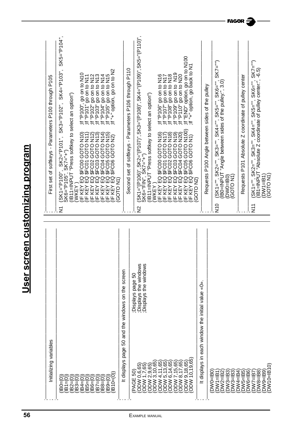| Initializing variables                                                                                 |                                                                       | First set of softkeys - Parameters P100 through P105                                                                                                                                                                                                                                                                                                                                        |
|--------------------------------------------------------------------------------------------------------|-----------------------------------------------------------------------|---------------------------------------------------------------------------------------------------------------------------------------------------------------------------------------------------------------------------------------------------------------------------------------------------------------------------------------------------------------------------------------------|
| $B1 = 0$<br>$(B2=0)$<br>$BO = 0$                                                                       |                                                                       | $SK5 = "P104",$<br>$SK4 = "P103",$<br>(SK1="P100", SK2="P101", SK3="P102", SK4<br>SK6="P105", SK7="+")<br>(IB11=INPUT "Press softkey to select an option")<br>Σ                                                                                                                                                                                                                             |
| $(B3=(0)$<br>$BA = 0$<br>$185 = (0)$<br>$B6=0$                                                         |                                                                       | :ff "P100", go on to N10<br>"ff "P101" go on to N11<br>"ff "P102" go on to N12<br>"ff "P102" go on to N12<br>"ff "P104" go on to N14<br>"ff "P105" go on to N15<br>OT<br>ZZ<br>GOTO<br>GOTO<br>GOTO<br>$\Xi$<br>σ<br>(WKEY )<br>(IF KEY I<br>KEY<br>KEY<br>$\overline{\mathsf{E}}$<br>生生                                                                                                    |
| $B10=0$<br>$B7=0$<br>$BB = 0$<br>$189 = 0$                                                             |                                                                       | "+" option, go on to N2<br>$=$<br>ลิติสถิล<br>22222<br>GOTO<br>GOTO<br>GOTO<br>GOTO<br>GOTO N1<br>ш<br><b>SHE KEY</b><br>SHE KEY<br>JE KEY<br>KEY                                                                                                                                                                                                                                           |
| 50<br>It displays page                                                                                 | and the windows on the screen                                         |                                                                                                                                                                                                                                                                                                                                                                                             |
| 2,9,65<br>1,7,65<br>0,6,65<br>80<br>PAGE<br><b>MOO</b><br><b>MOO</b><br><b>MOO</b>                     | Displays the windows;<br>Displays the windows;<br>page 50<br>Displays | (SK1="(P106)", SK2="(P107)", SK3="(P108)", SK4="(P109)", SK5="(P110)",<br>SK6="FIN", SK7="+")<br>Second set of softkeys - Parameters P106 through P110<br>(IB11=INPUT "Press softkey to select an option")<br>WKEY)<br>$\frac{2}{5}$                                                                                                                                                        |
| 3,10,65<br>(11,65)<br>5,13,65)<br>6,14,65)<br>$\frac{4}{1}$<br>MdO<br>MQO,<br><b>MOO</b><br><b>MOO</b> |                                                                       | ון "P106" go on to N16;<br>לון "P107" go on to N17;<br>לון "P108" go on to N18;<br>$\frac{1}{2}$<br>$\frac{1}{2}$<br>$\frac{1}{2}$<br>$\frac{1}{2}$<br>$\frac{1}{2}$<br>$\frac{1}{2}$<br>$\frac{1}{2}$<br>$\frac{1}{2}$<br>$\frac{1}{2}$<br>$\frac{1}{2}$<br>$\frac{1}{2}$<br>$\overline{N}$ 18)<br>စ်ရ<br>ZZ<br>GOTO<br>80TO<br>80TO<br>ag<br>⊞<br><b>SHEAT</b><br>SHEAT<br>SHEAT<br>SHEAT |
| 10,19,65<br>7,15,65)<br>8,17,65)<br>65<br>18<br>တ်<br><b>MOO</b><br>MQO,<br><b>MOO.</b><br>NQ<br>O     |                                                                       | ;if "END" option, go on to N100<br>;if "+" option, go back to N1<br>go on to N19<br>go on to N20<br>11" P110"<br>"P109"<br>N100)<br><b>N20)</b><br>(GLN<br>$\widetilde{\mathbf{z}}$<br>GOTO I<br>GOTO<br>GOTO<br>IF KEY EQ<br>KEY<br><b>IFKEY</b><br>KEY<br>唐<br>플                                                                                                                          |
| displays in<br>ᆂ                                                                                       | °<br>Ĝ<br>each window the initial value                               | GOTO N2)                                                                                                                                                                                                                                                                                                                                                                                    |
| $DW3 = 1B3$<br>$DW3 = 1B3$<br>$DWQ = BQ$<br>$DW1 = B1$<br>$DW2 = 1B2$                                  |                                                                       | $(SK7 = "")$<br>(SK1="", SK2="", SK3="", SK4="", SK5="", SK6="",<br>IB0=INPUT "Angle between sides of the pulley:", 3.0)<br>Requests P100 Angle between sides of the pulley<br>$(DMO = BO)$<br>$(GOTO N1)$<br>$\frac{1}{2}$                                                                                                                                                                 |
| $DW5 = 1B5$<br>DW4=IB4                                                                                 |                                                                       | Requests P101 Absolute Z coordinate of pulley center                                                                                                                                                                                                                                                                                                                                        |
| $DW10=IB10$<br>$DW6 = 1B6$<br>$DW8 = 1B8$<br>DW9=IB9<br>DW7=1B7                                        |                                                                       | $SK7 = 5$<br>Cover - Absolute Z coordinate of pulley center:", -6.5)<br>(B1=INPUT "Absolute Z coordinate of pulley center:", -6.5)<br>$SKG="$<br>$SK5 = 10^{11}$<br>", SK4="",<br>$SK2="", SK3="",$<br>(DW1=IB1)<br>(GOTO N1)<br>$SK1 = \frac{nm}{n}$<br>$\Sigma$                                                                                                                           |

 $=$  FAGOR  $\tilde{\mathbf{z}}$